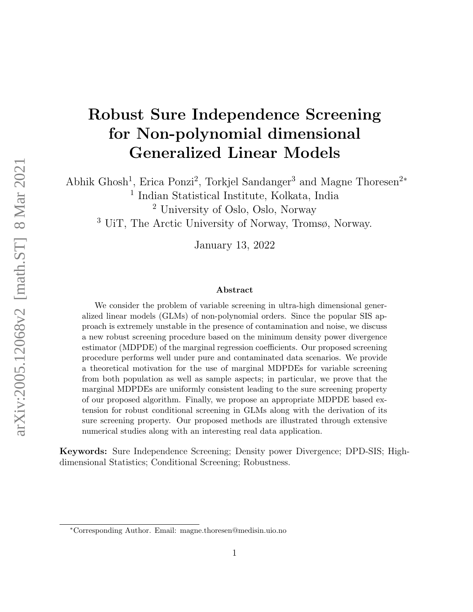# Robust Sure Independence Screening for Non-polynomial dimensional Generalized Linear Models

Abhik Ghosh<sup>1</sup>, Erica Ponzi<sup>2</sup>, Torkjel Sandanger<sup>3</sup> and Magne Thoresen<sup>2\*</sup>

1 Indian Statistical Institute, Kolkata, India

<sup>2</sup> University of Oslo, Oslo, Norway

<sup>3</sup> UiT, The Arctic University of Norway, Tromsø, Norway.

January 13, 2022

#### Abstract

We consider the problem of variable screening in ultra-high dimensional generalized linear models (GLMs) of non-polynomial orders. Since the popular SIS approach is extremely unstable in the presence of contamination and noise, we discuss a new robust screening procedure based on the minimum density power divergence estimator (MDPDE) of the marginal regression coefficients. Our proposed screening procedure performs well under pure and contaminated data scenarios. We provide a theoretical motivation for the use of marginal MDPDEs for variable screening from both population as well as sample aspects; in particular, we prove that the marginal MDPDEs are uniformly consistent leading to the sure screening property of our proposed algorithm. Finally, we propose an appropriate MDPDE based extension for robust conditional screening in GLMs along with the derivation of its sure screening property. Our proposed methods are illustrated through extensive numerical studies along with an interesting real data application.

Keywords: Sure Independence Screening; Density power Divergence; DPD-SIS; Highdimensional Statistics; Conditional Screening; Robustness.

<sup>∗</sup>Corresponding Author. Email: magne.thoresen@medisin.uio.no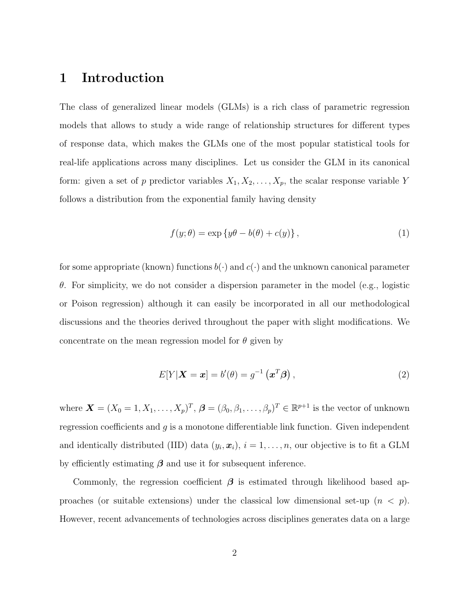### 1 Introduction

The class of generalized linear models (GLMs) is a rich class of parametric regression models that allows to study a wide range of relationship structures for different types of response data, which makes the GLMs one of the most popular statistical tools for real-life applications across many disciplines. Let us consider the GLM in its canonical form: given a set of p predictor variables  $X_1, X_2, \ldots, X_p$ , the scalar response variable Y follows a distribution from the exponential family having density

$$
f(y; \theta) = \exp\{y\theta - b(\theta) + c(y)\},\tag{1}
$$

for some appropriate (known) functions  $b(\cdot)$  and  $c(\cdot)$  and the unknown canonical parameter θ. For simplicity, we do not consider a dispersion parameter in the model (e.g., logistic or Poison regression) although it can easily be incorporated in all our methodological discussions and the theories derived throughout the paper with slight modifications. We concentrate on the mean regression model for  $\theta$  given by

$$
E[Y|\mathbf{X}=\mathbf{x}] = b'(\theta) = g^{-1}(\mathbf{x}^T\boldsymbol{\beta}), \qquad (2)
$$

where  $\boldsymbol{X} = (X_0 = 1, X_1, \dots, X_p)^T$ ,  $\boldsymbol{\beta} = (\beta_0, \beta_1, \dots, \beta_p)^T \in \mathbb{R}^{p+1}$  is the vector of unknown regression coefficients and  $g$  is a monotone differentiable link function. Given independent and identically distributed (IID) data  $(y_i, x_i)$ ,  $i = 1, \ldots, n$ , our objective is to fit a GLM by efficiently estimating  $\beta$  and use it for subsequent inference.

Commonly, the regression coefficient  $\beta$  is estimated through likelihood based approaches (or suitable extensions) under the classical low dimensional set-up  $(n < p)$ . However, recent advancements of technologies across disciplines generates data on a large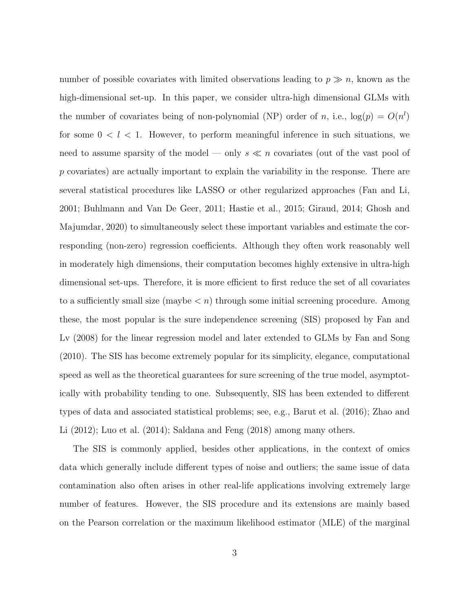number of possible covariates with limited observations leading to  $p \gg n$ , known as the high-dimensional set-up. In this paper, we consider ultra-high dimensional GLMs with the number of covariates being of non-polynomial (NP) order of n, i.e.,  $log(p) = O(n^l)$ for some  $0 < l < 1$ . However, to perform meaningful inference in such situations, we need to assume sparsity of the model — only  $s \ll n$  covariates (out of the vast pool of p covariates) are actually important to explain the variability in the response. There are several statistical procedures like LASSO or other regularized approaches (Fan and Li, 2001; Buhlmann and Van De Geer, 2011; Hastie et al., 2015; Giraud, 2014; Ghosh and Majumdar, 2020) to simultaneously select these important variables and estimate the corresponding (non-zero) regression coefficients. Although they often work reasonably well in moderately high dimensions, their computation becomes highly extensive in ultra-high dimensional set-ups. Therefore, it is more efficient to first reduce the set of all covariates to a sufficiently small size (maybe  $\langle n \rangle$ ) through some initial screening procedure. Among these, the most popular is the sure independence screening (SIS) proposed by Fan and Lv (2008) for the linear regression model and later extended to GLMs by Fan and Song (2010). The SIS has become extremely popular for its simplicity, elegance, computational speed as well as the theoretical guarantees for sure screening of the true model, asymptotically with probability tending to one. Subsequently, SIS has been extended to different types of data and associated statistical problems; see, e.g., Barut et al. (2016); Zhao and Li (2012); Luo et al. (2014); Saldana and Feng (2018) among many others.

The SIS is commonly applied, besides other applications, in the context of omics data which generally include different types of noise and outliers; the same issue of data contamination also often arises in other real-life applications involving extremely large number of features. However, the SIS procedure and its extensions are mainly based on the Pearson correlation or the maximum likelihood estimator (MLE) of the marginal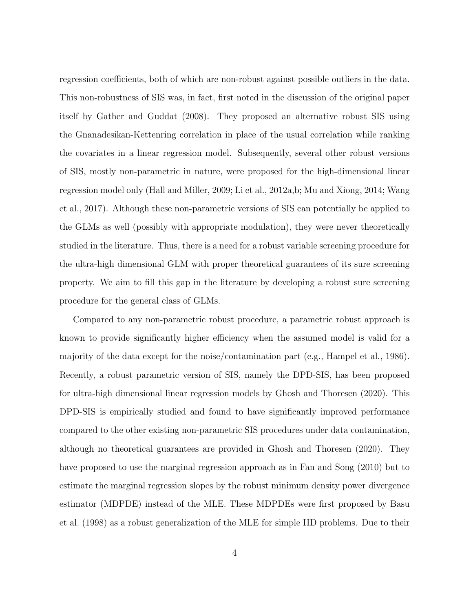regression coefficients, both of which are non-robust against possible outliers in the data. This non-robustness of SIS was, in fact, first noted in the discussion of the original paper itself by Gather and Guddat (2008). They proposed an alternative robust SIS using the Gnanadesikan-Kettenring correlation in place of the usual correlation while ranking the covariates in a linear regression model. Subsequently, several other robust versions of SIS, mostly non-parametric in nature, were proposed for the high-dimensional linear regression model only (Hall and Miller, 2009; Li et al., 2012a,b; Mu and Xiong, 2014; Wang et al., 2017). Although these non-parametric versions of SIS can potentially be applied to the GLMs as well (possibly with appropriate modulation), they were never theoretically studied in the literature. Thus, there is a need for a robust variable screening procedure for the ultra-high dimensional GLM with proper theoretical guarantees of its sure screening property. We aim to fill this gap in the literature by developing a robust sure screening procedure for the general class of GLMs.

Compared to any non-parametric robust procedure, a parametric robust approach is known to provide significantly higher efficiency when the assumed model is valid for a majority of the data except for the noise/contamination part (e.g., Hampel et al., 1986). Recently, a robust parametric version of SIS, namely the DPD-SIS, has been proposed for ultra-high dimensional linear regression models by Ghosh and Thoresen (2020). This DPD-SIS is empirically studied and found to have significantly improved performance compared to the other existing non-parametric SIS procedures under data contamination, although no theoretical guarantees are provided in Ghosh and Thoresen (2020). They have proposed to use the marginal regression approach as in Fan and Song (2010) but to estimate the marginal regression slopes by the robust minimum density power divergence estimator (MDPDE) instead of the MLE. These MDPDEs were first proposed by Basu et al. (1998) as a robust generalization of the MLE for simple IID problems. Due to their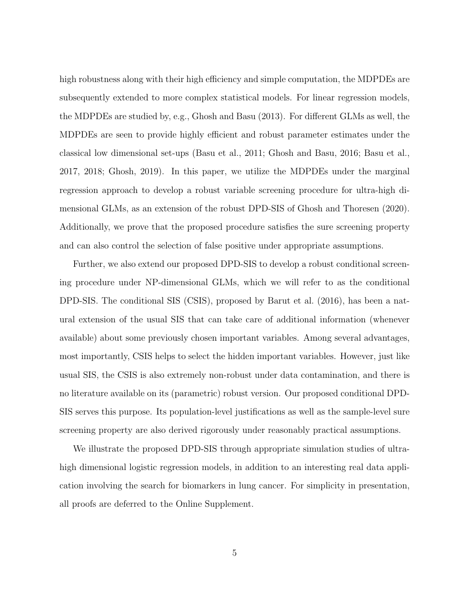high robustness along with their high efficiency and simple computation, the MDPDEs are subsequently extended to more complex statistical models. For linear regression models, the MDPDEs are studied by, e.g., Ghosh and Basu (2013). For different GLMs as well, the MDPDEs are seen to provide highly efficient and robust parameter estimates under the classical low dimensional set-ups (Basu et al., 2011; Ghosh and Basu, 2016; Basu et al., 2017, 2018; Ghosh, 2019). In this paper, we utilize the MDPDEs under the marginal regression approach to develop a robust variable screening procedure for ultra-high dimensional GLMs, as an extension of the robust DPD-SIS of Ghosh and Thoresen (2020). Additionally, we prove that the proposed procedure satisfies the sure screening property and can also control the selection of false positive under appropriate assumptions.

Further, we also extend our proposed DPD-SIS to develop a robust conditional screening procedure under NP-dimensional GLMs, which we will refer to as the conditional DPD-SIS. The conditional SIS (CSIS), proposed by Barut et al. (2016), has been a natural extension of the usual SIS that can take care of additional information (whenever available) about some previously chosen important variables. Among several advantages, most importantly, CSIS helps to select the hidden important variables. However, just like usual SIS, the CSIS is also extremely non-robust under data contamination, and there is no literature available on its (parametric) robust version. Our proposed conditional DPD-SIS serves this purpose. Its population-level justifications as well as the sample-level sure screening property are also derived rigorously under reasonably practical assumptions.

We illustrate the proposed DPD-SIS through appropriate simulation studies of ultrahigh dimensional logistic regression models, in addition to an interesting real data application involving the search for biomarkers in lung cancer. For simplicity in presentation, all proofs are deferred to the Online Supplement.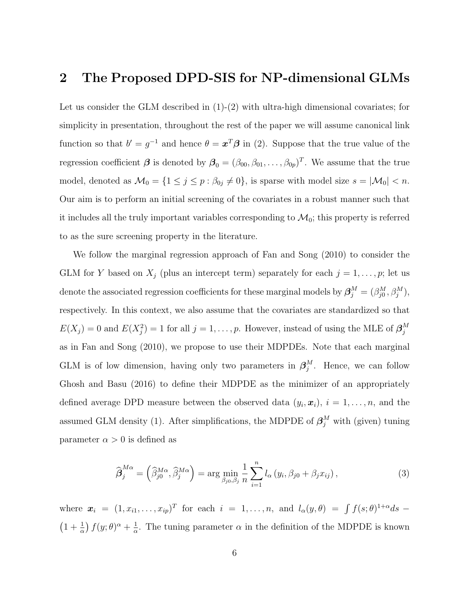# 2 The Proposed DPD-SIS for NP-dimensional GLMs

Let us consider the GLM described in  $(1)-(2)$  with ultra-high dimensional covariates; for simplicity in presentation, throughout the rest of the paper we will assume canonical link function so that  $b' = g^{-1}$  and hence  $\theta = \mathbf{x}^T \boldsymbol{\beta}$  in (2). Suppose that the true value of the regression coefficient  $\beta$  is denoted by  $\beta_0 = (\beta_{00}, \beta_{01}, \dots, \beta_{0p})^T$ . We assume that the true model, denoted as  $\mathcal{M}_0 = \{1 \le j \le p : \beta_{0j} \neq 0\}$ , is sparse with model size  $s = |\mathcal{M}_0| < n$ . Our aim is to perform an initial screening of the covariates in a robust manner such that it includes all the truly important variables corresponding to  $\mathcal{M}_0$ ; this property is referred to as the sure screening property in the literature.

We follow the marginal regression approach of Fan and Song (2010) to consider the GLM for Y based on  $X_j$  (plus an intercept term) separately for each  $j = 1, \ldots, p$ ; let us denote the associated regression coefficients for these marginal models by  $\boldsymbol{\beta}_j^M = (\beta_{j0}^M, \beta_j^M)$ , respectively. In this context, we also assume that the covariates are standardized so that  $E(X_j) = 0$  and  $E(X_j^2) = 1$  for all  $j = 1, ..., p$ . However, instead of using the MLE of  $\boldsymbol{\beta}_j^M$ j as in Fan and Song (2010), we propose to use their MDPDEs. Note that each marginal GLM is of low dimension, having only two parameters in  $\beta_i^M$  $_j^M$ . Hence, we can follow Ghosh and Basu (2016) to define their MDPDE as the minimizer of an appropriately defined average DPD measure between the observed data  $(y_i, x_i)$ ,  $i = 1, \ldots, n$ , and the assumed GLM density (1). After simplifications, the MDPDE of  $\beta_j^M$  with (given) tuning parameter  $\alpha > 0$  is defined as

$$
\widehat{\boldsymbol{\beta}}_{j}^{M\alpha} = \left(\widehat{\beta}_{j0}^{M\alpha}, \widehat{\beta}_{j}^{M\alpha}\right) = \arg\min_{\beta_{j0}, \beta_{j}} \frac{1}{n} \sum_{i=1}^{n} l_{\alpha} \left(y_{i}, \beta_{j0} + \beta_{j} x_{ij}\right),\tag{3}
$$

where  $\mathbf{x}_i = (1, x_{i1}, \dots, x_{ip})^T$  for each  $i = 1, \dots, n$ , and  $l_\alpha(y, \theta) = \int f(s; \theta)^{1+\alpha} ds$  $\left(1+\frac{1}{\alpha}\right)f(y;\theta)^{\alpha}+\frac{1}{\alpha}$  $\frac{1}{\alpha}$ . The tuning parameter  $\alpha$  in the definition of the MDPDE is known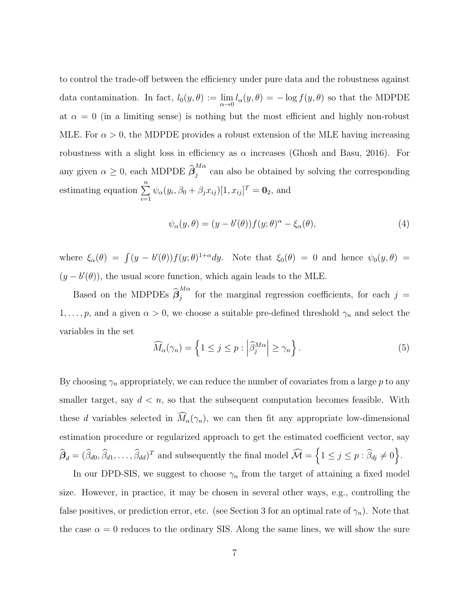to control the trade-off between the efficiency under pure data and the robustness against data contamination. In fact,  $l_0(y, \theta) := \lim_{\alpha \to 0} l_\alpha(y, \theta) = -\log f(y, \theta)$  so that the MDPDE at  $\alpha = 0$  (in a limiting sense) is nothing but the most efficient and highly non-robust MLE. For  $\alpha > 0$ , the MDPDE provides a robust extension of the MLE having increasing robustness with a slight loss in efficiency as  $\alpha$  increases (Ghosh and Basu, 2016). For any given  $\alpha \geq 0$ , each MDPDE  $\widehat{\beta}_j^{M\alpha}$  $j$ <sup>na</sup> can also be obtained by solving the corresponding estimating equation  $\sum_{n=1}^{\infty}$  $i=1$  $\psi_{\alpha}(y_i,\beta_0+\beta_jx_{ij})[1,x_{ij}]^T=\mathbf{0}_2$ , and

$$
\psi_{\alpha}(y,\theta) = (y - b'(\theta))f(y;\theta)^{\alpha} - \xi_{\alpha}(\theta), \tag{4}
$$

where  $\xi_{\alpha}(\theta) = \int (y - b'(\theta)) f(y; \theta)^{1+\alpha} dy$ . Note that  $\xi_0(\theta) = 0$  and hence  $\psi_0(y, \theta) =$  $(y - b'(\theta))$ , the usual score function, which again leads to the MLE.

Based on the MDPDEs  $\widehat{\beta}_j^{M\alpha}$  $j$  for the marginal regression coefficients, for each  $j =$  $1, \ldots, p$ , and a given  $\alpha > 0$ , we choose a suitable pre-defined threshold  $\gamma_n$  and select the variables in the set

$$
\widehat{M}_{\alpha}(\gamma_n) = \left\{ 1 \le j \le p : \left| \widehat{\beta}_j^{M\alpha} \right| \ge \gamma_n \right\}. \tag{5}
$$

By choosing  $\gamma_n$  appropriately, we can reduce the number of covariates from a large p to any smaller target, say  $d < n$ , so that the subsequent computation becomes feasible. With these d variables selected in  $\widehat{M}_{\alpha}(\gamma_n)$ , we can then fit any appropriate low-dimensional estimation procedure or regularized approach to get the estimated coefficient vector, say  $\widehat{\beta}_d = (\widehat{\beta}_{d0}, \widehat{\beta}_{d1}, \dots, \widehat{\beta}_{dd})^T$  and subsequently the final model  $\widehat{\mathcal{M}} = \left\{1 \leq j \leq p : \widehat{\beta}_{dj} \neq 0\right\}$ .

In our DPD-SIS, we suggest to choose  $\gamma_n$  from the target of attaining a fixed model size. However, in practice, it may be chosen in several other ways, e.g., controlling the false positives, or prediction error, etc. (see Section 3 for an optimal rate of  $\gamma_n$ ). Note that the case  $\alpha = 0$  reduces to the ordinary SIS. Along the same lines, we will show the sure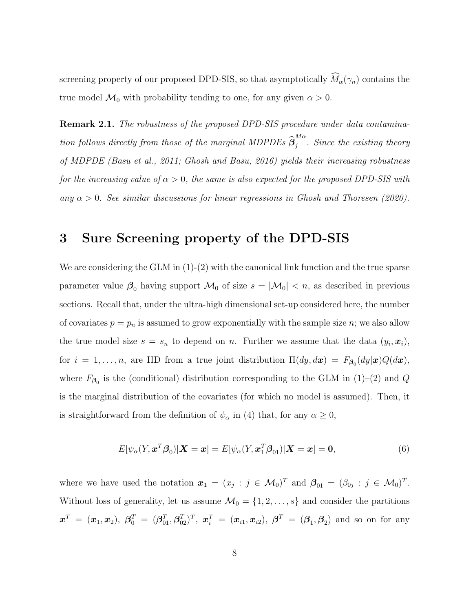screening property of our proposed DPD-SIS, so that asymptotically  $\widehat{M}_{\alpha}(\gamma_n)$  contains the true model  $\mathcal{M}_0$  with probability tending to one, for any given  $\alpha > 0$ .

Remark 2.1. The robustness of the proposed DPD-SIS procedure under data contamination follows directly from those of the marginal MDPDEs  $\widehat{\boldsymbol{\beta}}_j^{M\alpha}$  $\int_{j}^{n}$ . Since the existing theory of MDPDE (Basu et al., 2011; Ghosh and Basu, 2016) yields their increasing robustness for the increasing value of  $\alpha > 0$ , the same is also expected for the proposed DPD-SIS with any  $\alpha > 0$ . See similar discussions for linear regressions in Ghosh and Thoresen (2020).

### 3 Sure Screening property of the DPD-SIS

We are considering the GLM in  $(1)-(2)$  with the canonical link function and the true sparse parameter value  $\beta_0$  having support  $\mathcal{M}_0$  of size  $s = |\mathcal{M}_0| < n$ , as described in previous sections. Recall that, under the ultra-high dimensional set-up considered here, the number of covariates  $p = p_n$  is assumed to grow exponentially with the sample size n; we also allow the true model size  $s = s_n$  to depend on n. Further we assume that the data  $(y_i, x_i)$ , for  $i = 1, \ldots, n$ , are IID from a true joint distribution  $\Pi(dy, dx) = F_{\beta_0}(dy|\mathbf{x})Q(d\mathbf{x}),$ where  $F_{\beta_0}$  is the (conditional) distribution corresponding to the GLM in (1)–(2) and Q is the marginal distribution of the covariates (for which no model is assumed). Then, it is straightforward from the definition of  $\psi_{\alpha}$  in (4) that, for any  $\alpha \geq 0$ ,

$$
E[\psi_{\alpha}(Y, \boldsymbol{x}^{T}\boldsymbol{\beta}_{0})|\boldsymbol{X}=\boldsymbol{x}] = E[\psi_{\alpha}(Y, \boldsymbol{x}_{1}^{T}\boldsymbol{\beta}_{01})|\boldsymbol{X}=\boldsymbol{x}] = \mathbf{0}, \tag{6}
$$

where we have used the notation  $\boldsymbol{x}_1 = (x_j : j \in \mathcal{M}_0)^T$  and  $\boldsymbol{\beta}_{01} = (\beta_{0j} : j \in \mathcal{M}_0)^T$ . Without loss of generality, let us assume  $\mathcal{M}_0 = \{1, 2, \ldots, s\}$  and consider the partitions  $\bm{x}^T\ =\ (\bm{x}_1,\bm{x}_2),\ \bm{\beta}_0^T\ =\ (\bm{\beta}_{01}^T,\bm{\beta}_{02}^T)^T,\ \bm{x}_i^T\ =\ (\bm{x}_{i1},\bm{x}_{i2}),\ \bm{\beta}^T\ =\ (\bm{\beta}_1,\bm{\beta}_2)\ \ \text{and so on for any}$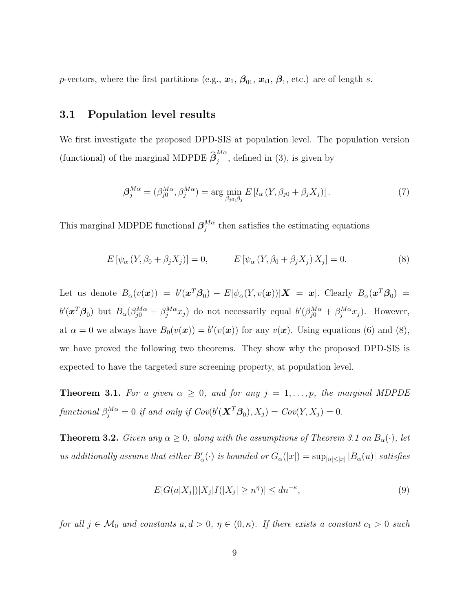*p*-vectors, where the first partitions (e.g.,  $x_1$ ,  $\beta_{01}$ ,  $x_{i1}$ ,  $\beta_1$ , etc.) are of length s.

#### 3.1 Population level results

We first investigate the proposed DPD-SIS at population level. The population version (functional) of the marginal MDPDE  $\widehat{\boldsymbol{\beta}}_{j}^{M\alpha}$  $j^{max}$ , defined in (3), is given by

$$
\beta_j^{M\alpha} = (\beta_{j0}^{M\alpha}, \beta_j^{M\alpha}) = \arg\min_{\beta_{j0}, \beta_j} E\left[l_{\alpha}\left(Y, \beta_{j0} + \beta_j X_j\right)\right].\tag{7}
$$

This marginal MDPDE functional  $\beta_i^{M\alpha}$  $j^{\text{M}\alpha}$  then satisfies the estimating equations

$$
E\left[\psi_{\alpha}\left(Y,\beta_{0}+\beta_{j}X_{j}\right)\right]=0, \qquad E\left[\psi_{\alpha}\left(Y,\beta_{0}+\beta_{j}X_{j}\right)X_{j}\right]=0. \tag{8}
$$

Let us denote  $B_\alpha(v(\bm x)) = b'(\bm x^T\bm\beta_0) - E[\psi_\alpha(Y,v(\bm x))|\bm X = \bm x]$ . Clearly  $B_\alpha(\bm x^T\bm\beta_0) =$  $b'(\boldsymbol{x}^T\boldsymbol{\beta}_0)$  but  $B_{\alpha}(\beta_{j0}^{M\alpha} + \beta_j^{M\alpha}x_j)$  do not necessarily equal  $b'(\beta_{j0}^{M\alpha} + \beta_j^{M\alpha}x_j)$ . However, at  $\alpha = 0$  we always have  $B_0(v(\boldsymbol{x})) = b'(v(\boldsymbol{x}))$  for any  $v(\boldsymbol{x})$ . Using equations (6) and (8), we have proved the following two theorems. They show why the proposed DPD-SIS is expected to have the targeted sure screening property, at population level.

**Theorem 3.1.** For a given  $\alpha \geq 0$ , and for any  $j = 1, \ldots, p$ , the marginal MDPDE functional  $\beta_j^{M\alpha} = 0$  if and only if  $Cov(b'(\boldsymbol{X}^T\boldsymbol{\beta}_0), X_j) = Cov(Y, X_j) = 0$ .

**Theorem 3.2.** Given any  $\alpha \geq 0$ , along with the assumptions of Theorem 3.1 on  $B_{\alpha}(\cdot)$ , let us additionally assume that either  $B'_\alpha(\cdot)$  is bounded or  $G_\alpha(|x|) = \sup_{|u| \leq |x|} |B_\alpha(u)|$  satisfies

$$
E[G(a|X_j|)|X_j|I(|X_j| \ge n^{\eta})] \le dn^{-\kappa},\tag{9}
$$

for all  $j \in \mathcal{M}_0$  and constants  $a, d > 0, \eta \in (0, \kappa)$ . If there exists a constant  $c_1 > 0$  such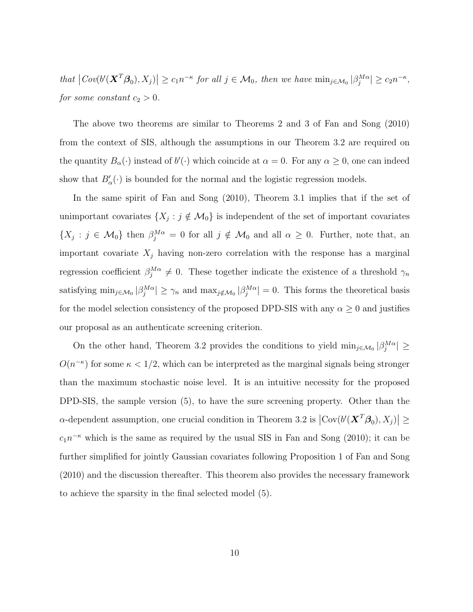that  $|Cov(b'(\mathbf{X}^T\mathcal{B}_0), X_j)| \geq c_1 n^{-\kappa}$  for all  $j \in \mathcal{M}_0$ , then we have  $\min_{j \in \mathcal{M}_0} |\beta_j^{M\alpha}| \geq c_2 n^{-\kappa}$ , for some constant  $c_2 > 0$ .

The above two theorems are similar to Theorems 2 and 3 of Fan and Song (2010) from the context of SIS, although the assumptions in our Theorem 3.2 are required on the quantity  $B_{\alpha}(\cdot)$  instead of  $b'(\cdot)$  which coincide at  $\alpha = 0$ . For any  $\alpha \geq 0$ , one can indeed show that  $B'_{\alpha}(\cdot)$  is bounded for the normal and the logistic regression models.

In the same spirit of Fan and Song (2010), Theorem 3.1 implies that if the set of unimportant covariates  $\{X_j : j \notin \mathcal{M}_0\}$  is independent of the set of important covariates  $\{X_j : j \in \mathcal{M}_0\}$  then  $\beta_j^{M\alpha} = 0$  for all  $j \notin \mathcal{M}_0$  and all  $\alpha \geq 0$ . Further, note that, an important covariate  $X_j$  having non-zero correlation with the response has a marginal regression coefficient  $\beta_j^{M\alpha} \neq 0$ . These together indicate the existence of a threshold  $\gamma_n$ satisfying  $\min_{j \in \mathcal{M}_0} |\beta_j^{M\alpha}| \ge \gamma_n$  and  $\max_{j \notin \mathcal{M}_0} |\beta_j^{M\alpha}| = 0$ . This forms the theoretical basis for the model selection consistency of the proposed DPD-SIS with any  $\alpha \geq 0$  and justifies our proposal as an authenticate screening criterion.

On the other hand, Theorem 3.2 provides the conditions to yield  $\min_{j \in \mathcal{M}_0} |\beta_j^{M\alpha}| \geq$  $O(n^{-\kappa})$  for some  $\kappa < 1/2$ , which can be interpreted as the marginal signals being stronger than the maximum stochastic noise level. It is an intuitive necessity for the proposed DPD-SIS, the sample version (5), to have the sure screening property. Other than the  $\alpha$ -dependent assumption, one crucial condition in Theorem 3.2 is  $|Cov(b'(\mathbf{X}^T\boldsymbol{\beta}_0), X_j)| \geq$  $c_1n^{-\kappa}$  which is the same as required by the usual SIS in Fan and Song (2010); it can be further simplified for jointly Gaussian covariates following Proposition 1 of Fan and Song (2010) and the discussion thereafter. This theorem also provides the necessary framework to achieve the sparsity in the final selected model (5).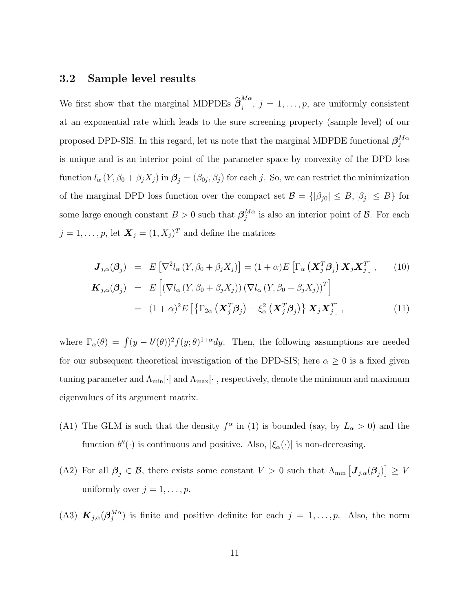#### 3.2 Sample level results

We first show that the marginal MDPDEs  $\widehat{\beta}_j^{M\alpha}$  $j, j = 1, \ldots, p$ , are uniformly consistent at an exponential rate which leads to the sure screening property (sample level) of our proposed DPD-SIS. In this regard, let us note that the marginal MDPDE functional  $\beta_i^{M\alpha}$ j is unique and is an interior point of the parameter space by convexity of the DPD loss function  $l_{\alpha}(Y,\beta_0+\beta_jX_j)$  in  $\boldsymbol{\beta}_j=(\beta_{0j},\beta_j)$  for each j. So, we can restrict the minimization of the marginal DPD loss function over the compact set  $\mathcal{B} = \{|\beta_{j0}| \leq B, |\beta_j| \leq B\}$  for some large enough constant  $B > 0$  such that  $\beta_i^{M\alpha}$  $_j^{M\alpha}$  is also an interior point of  $\beta$ . For each  $j = 1, \ldots, p$ , let  $\boldsymbol{X}_j = (1, X_j)^T$  and define the matrices

$$
\mathbf{J}_{j,\alpha}(\boldsymbol{\beta}_{j}) = E\left[\nabla^{2}l_{\alpha}\left(Y,\beta_{0}+\beta_{j}X_{j}\right)\right] = (1+\alpha)E\left[\Gamma_{\alpha}\left(\mathbf{X}_{j}^{T}\boldsymbol{\beta}_{j}\right)\mathbf{X}_{j}\mathbf{X}_{j}^{T}\right],\qquad(10)
$$
\n
$$
\mathbf{K}_{j,\alpha}(\boldsymbol{\beta}_{j}) = E\left[\left(\nabla l_{\alpha}\left(Y,\beta_{0}+\beta_{j}X_{j}\right)\right)\left(\nabla l_{\alpha}\left(Y,\beta_{0}+\beta_{j}X_{j}\right)\right)^{T}\right]
$$
\n
$$
= (1+\alpha)^{2}E\left[\left\{\Gamma_{2\alpha}\left(\mathbf{X}_{j}^{T}\boldsymbol{\beta}_{j}\right)-\xi_{\alpha}^{2}\left(\mathbf{X}_{j}^{T}\boldsymbol{\beta}_{j}\right)\right\}\mathbf{X}_{j}\mathbf{X}_{j}^{T}\right],\qquad(11)
$$

where  $\Gamma_{\alpha}(\theta) = \int (y - b'(\theta))^2 f(y; \theta)^{1+\alpha} dy$ . Then, the following assumptions are needed for our subsequent theoretical investigation of the DPD-SIS; here  $\alpha \geq 0$  is a fixed given tuning parameter and  $\Lambda_{\min}[\cdot]$  and  $\Lambda_{\max}[\cdot],$  respectively, denote the minimum and maximum eigenvalues of its argument matrix.

- (A1) The GLM is such that the density  $f^{\alpha}$  in (1) is bounded (say, by  $L_{\alpha} > 0$ ) and the function  $b''(\cdot)$  is continuous and positive. Also,  $|\xi_{\alpha}(\cdot)|$  is non-decreasing.
- (A2) For all  $\beta_j \in \mathcal{B}$ , there exists some constant  $V > 0$  such that  $\Lambda_{\min} \left[ J_{j,\alpha}(\beta_j) \right] \geq V$ uniformly over  $j = 1, \ldots, p$ .
- (A3)  $\mathbf{K}_{j,\alpha}(\boldsymbol{\beta}_{j}^{M\alpha})$  $_j^{M\alpha}$ ) is finite and positive definite for each  $j = 1, \ldots, p$ . Also, the norm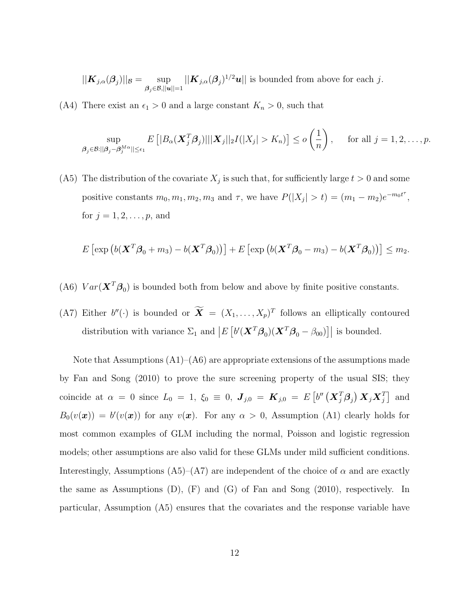$$
||\mathbf{K}_{j,\alpha}(\boldsymbol{\beta}_j)||_{\mathcal{B}} = \sup_{\boldsymbol{\beta}_j \in \mathcal{B}, ||\mathbf{u}|| = 1} ||\mathbf{K}_{j,\alpha}(\boldsymbol{\beta}_j)^{1/2} \mathbf{u}||
$$
 is bounded from above for each  $j$ .

(A4) There exist an  $\epsilon_1 > 0$  and a large constant  $K_n > 0$ , such that

$$
\sup_{\boldsymbol{\beta}_j\in\mathcal{B}:||\boldsymbol{\beta}_j-\boldsymbol{\beta}_j^{M\alpha}||\leq\epsilon_1}E\left[|B_{\alpha}(\boldsymbol{X}_j^T\boldsymbol{\beta}_j)||\|\boldsymbol{X}_j\|_2I(|X_j|>K_n)\right]\leq o\left(\frac{1}{n}\right),\quad \text{ for all }j=1,2,\ldots,p.
$$

(A5) The distribution of the covariate  $X_j$  is such that, for sufficiently large  $t > 0$  and some positive constants  $m_0, m_1, m_2, m_3$  and  $\tau$ , we have  $P(|X_j| > t) = (m_1 - m_2)e^{-m_0 t^{\tau}}$ , for  $j = 1, 2, ..., p$ , and

$$
E\left[\exp\left(b(\mathbf{X}^T\boldsymbol{\beta}_0+m_3)-b(\mathbf{X}^T\boldsymbol{\beta}_0)\right)\right]+E\left[\exp\left(b(\mathbf{X}^T\boldsymbol{\beta}_0-m_3)-b(\mathbf{X}^T\boldsymbol{\beta}_0)\right)\right]\leq m_2.
$$

- (A6)  $Var(\mathbf{X}^T \boldsymbol{\beta}_0)$  is bounded both from below and above by finite positive constants.
- (A7) Either  $b''(\cdot)$  is bounded or  $\mathbf{X} = (X_1, \ldots, X_p)^T$  follows an elliptically contoured distribution with variance  $\Sigma_1$  and  $\left|E\left[b'(\boldsymbol{X}^T\boldsymbol{\beta}_0)(\boldsymbol{X}^T\boldsymbol{\beta}_0 - \beta_{00})\right]\right|$  is bounded.

Note that Assumptions  $(A1)$ – $(A6)$  are appropriate extensions of the assumptions made by Fan and Song (2010) to prove the sure screening property of the usual SIS; they coincide at  $\alpha = 0$  since  $L_0 = 1$ ,  $\xi_0 = 0$ ,  $J_{j,0} = K_{j,0} = E[v'(X_j^T \beta_j) X_j X_j^T]$  and  $B_0(v(\boldsymbol{x})) = b'(v(\boldsymbol{x}))$  for any  $v(\boldsymbol{x})$ . For any  $\alpha > 0$ , Assumption (A1) clearly holds for most common examples of GLM including the normal, Poisson and logistic regression models; other assumptions are also valid for these GLMs under mild sufficient conditions. Interestingly, Assumptions (A5)–(A7) are independent of the choice of  $\alpha$  and are exactly the same as Assumptions  $(D)$ ,  $(F)$  and  $(G)$  of Fan and Song  $(2010)$ , respectively. In particular, Assumption (A5) ensures that the covariates and the response variable have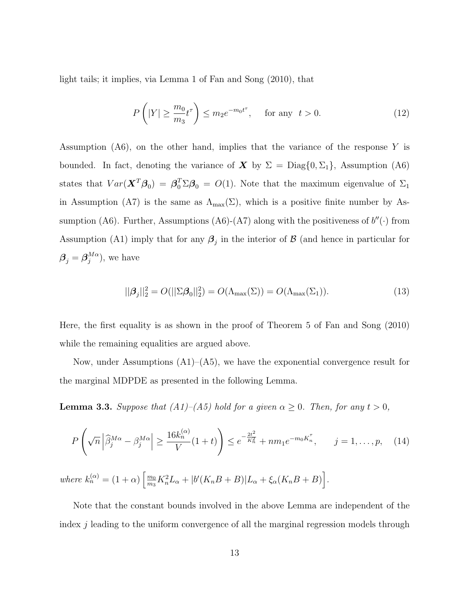light tails; it implies, via Lemma 1 of Fan and Song (2010), that

$$
P\left(|Y| \ge \frac{m_0}{m_3} t^{\tau}\right) \le m_2 e^{-m_0 t^{\tau}}, \quad \text{for any } t > 0.
$$
 (12)

Assumption  $(A6)$ , on the other hand, implies that the variance of the response Y is bounded. In fact, denoting the variance of  $\boldsymbol{X}$  by  $\Sigma = \text{Diag}\{0, \Sigma_1\}$ , Assumption (A6) states that  $Var(\mathbf{X}^T \boldsymbol{\beta}_0) = \boldsymbol{\beta}_0^T \Sigma \boldsymbol{\beta}_0 = O(1)$ . Note that the maximum eigenvalue of  $\Sigma_1$ in Assumption (A7) is the same as  $\Lambda_{\max}(\Sigma)$ , which is a positive finite number by Assumption (A6). Further, Assumptions (A6)-(A7) along with the positiveness of  $b''(.)$  from Assumption (A1) imply that for any  $\beta_j$  in the interior of  $\beta$  (and hence in particular for  $\boldsymbol{\beta}_j = \boldsymbol{\beta}_j^{M\alpha}$  $j^{M\alpha}$ ), we have

$$
||\boldsymbol{\beta}_j||_2^2 = O(||\boldsymbol{\Sigma}\boldsymbol{\beta}_0||_2^2) = O(\Lambda_{\max}(\boldsymbol{\Sigma})) = O(\Lambda_{\max}(\boldsymbol{\Sigma}_1)).
$$
\n(13)

Here, the first equality is as shown in the proof of Theorem 5 of Fan and Song (2010) while the remaining equalities are argued above.

Now, under Assumptions  $(A1)$ – $(A5)$ , we have the exponential convergence result for the marginal MDPDE as presented in the following Lemma.

**Lemma 3.3.** Suppose that  $(A1)$ – $(A5)$  hold for a given  $\alpha \geq 0$ . Then, for any  $t > 0$ ,

$$
P\left(\sqrt{n}\left|\widehat{\beta}_{j}^{M\alpha} - \beta_{j}^{M\alpha}\right| \ge \frac{16k_{n}^{(\alpha)}}{V}(1+t)\right) \le e^{-\frac{2t^{2}}{K_{n}^{2}}} + nm_{1}e^{-m_{0}K_{n}^{\tau}}, \qquad j = 1, ..., p, \quad (14)
$$

where  $k_n^{(\alpha)} = (1 + \alpha) \left[\frac{m_0}{m_0}\right]$  $\frac{m_0}{m_3} K_n^2 L_\alpha + |b'(K_n B + B)| L_\alpha + \xi_\alpha (K_n B + B)$ .

Note that the constant bounds involved in the above Lemma are independent of the index j leading to the uniform convergence of all the marginal regression models through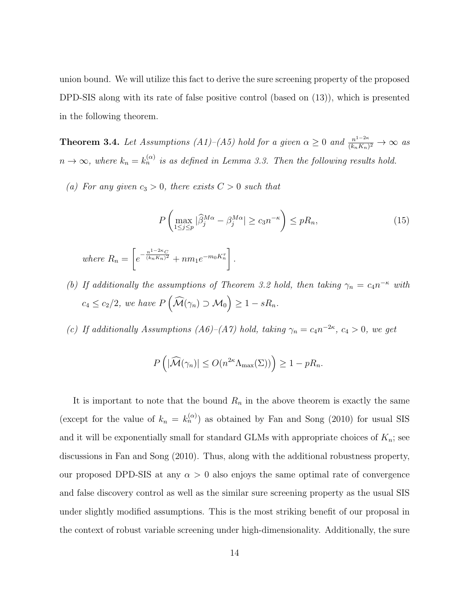union bound. We will utilize this fact to derive the sure screening property of the proposed DPD-SIS along with its rate of false positive control (based on (13)), which is presented in the following theorem.

**Theorem 3.4.** Let Assumptions (A1)–(A5) hold for a given  $\alpha \geq 0$  and  $\frac{n^{1-2\kappa}}{(k-\kappa)}$  $\frac{n^{1-2\kappa}}{(k_nK_n)^2} \to \infty$  as  $n \to \infty$ , where  $k_n = k_n^{(\alpha)}$  is as defined in Lemma 3.3. Then the following results hold.

(a) For any given  $c_3 > 0$ , there exists  $C > 0$  such that

$$
P\left(\max_{1\leq j\leq p}|\widehat{\beta}_j^{M\alpha} - \beta_j^{M\alpha}| \geq c_3 n^{-\kappa}\right) \leq pR_n,
$$
  
\nwhere  $R_n = \left[e^{-\frac{n^{1-2\kappa}C}{(k_nK_n)^2}} + nm_1 e^{-m_0 K_n^{\tau}}\right].$  (15)

(b) If additionally the assumptions of Theorem 3.2 hold, then taking  $\gamma_n = c_4 n^{-\kappa}$  with  $c_4 \leq c_2/2$ , we have  $P\left(\widehat{\mathcal{M}}(\gamma_n) \supset \mathcal{M}_0\right) \geq 1 - sR_n$ .

(c) If additionally Assumptions (A6)–(A7) hold, taking  $\gamma_n = c_4 n^{-2\kappa}$ ,  $c_4 > 0$ , we get

$$
P\left(|\widehat{\mathcal{M}}(\gamma_n)| \le O(n^{2\kappa} \Lambda_{\max}(\Sigma))\right) \ge 1 - pR_n.
$$

It is important to note that the bound  $R_n$  in the above theorem is exactly the same (except for the value of  $k_n = k_n^{(\alpha)}$ ) as obtained by Fan and Song (2010) for usual SIS and it will be exponentially small for standard GLMs with appropriate choices of  $K_n$ ; see discussions in Fan and Song (2010). Thus, along with the additional robustness property, our proposed DPD-SIS at any  $\alpha > 0$  also enjoys the same optimal rate of convergence and false discovery control as well as the similar sure screening property as the usual SIS under slightly modified assumptions. This is the most striking benefit of our proposal in the context of robust variable screening under high-dimensionality. Additionally, the sure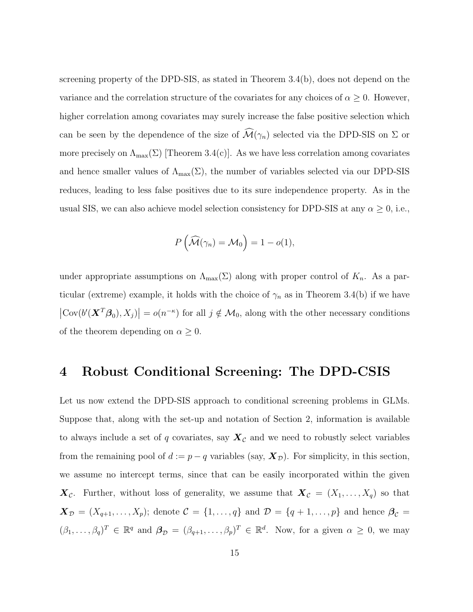screening property of the DPD-SIS, as stated in Theorem 3.4(b), does not depend on the variance and the correlation structure of the covariates for any choices of  $\alpha \geq 0$ . However, higher correlation among covariates may surely increase the false positive selection which can be seen by the dependence of the size of  $\widehat{\mathcal{M}}(\gamma_n)$  selected via the DPD-SIS on  $\Sigma$  or more precisely on  $\Lambda_{\text{max}}(\Sigma)$  [Theorem 3.4(c)]. As we have less correlation among covariates and hence smaller values of  $\Lambda_{\text{max}}(\Sigma)$ , the number of variables selected via our DPD-SIS reduces, leading to less false positives due to its sure independence property. As in the usual SIS, we can also achieve model selection consistency for DPD-SIS at any  $\alpha \geq 0$ , i.e.,

$$
P\left(\widehat{\mathcal{M}}(\gamma_n) = \mathcal{M}_0\right) = 1 - o(1),
$$

under appropriate assumptions on  $\Lambda_{\max}(\Sigma)$  along with proper control of  $K_n$ . As a particular (extreme) example, it holds with the choice of  $\gamma_n$  as in Theorem 3.4(b) if we have  $|\text{Cov}(b'(\mathbf{X}^T\boldsymbol{\beta}_0), X_j)| = o(n^{-\kappa})$  for all  $j \notin \mathcal{M}_0$ , along with the other necessary conditions of the theorem depending on  $\alpha \geq 0$ .

### 4 Robust Conditional Screening: The DPD-CSIS

Let us now extend the DPD-SIS approach to conditional screening problems in GLMs. Suppose that, along with the set-up and notation of Section 2, information is available to always include a set of q covariates, say  $X_{\mathcal{C}}$  and we need to robustly select variables from the remaining pool of  $d := p - q$  variables (say,  $\mathbf{X}_{\mathcal{D}}$ ). For simplicity, in this section, we assume no intercept terms, since that can be easily incorporated within the given  $\mathbf{X}_{\mathcal{C}}$ . Further, without loss of generality, we assume that  $\mathbf{X}_{\mathcal{C}} = (X_1, \ldots, X_q)$  so that  $\mathbf{X}_{\mathcal{D}} = (X_{q+1}, \ldots, X_p);$  denote  $\mathcal{C} = \{1, \ldots, q\}$  and  $\mathcal{D} = \{q+1, \ldots, p\}$  and hence  $\beta_{\mathcal{C}} =$  $(\beta_1,\ldots,\beta_q)^T \in \mathbb{R}^q$  and  $\boldsymbol{\beta}_{\mathcal{D}} = (\beta_{q+1},\ldots,\beta_p)^T \in \mathbb{R}^d$ . Now, for a given  $\alpha \geq 0$ , we may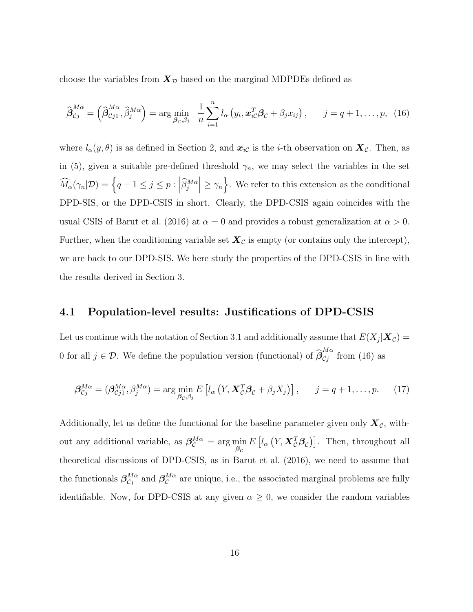choose the variables from  $X_{\mathcal{D}}$  based on the marginal MDPDEs defined as

$$
\widehat{\boldsymbol{\beta}}_{Cj}^{M\alpha} = \left(\widehat{\boldsymbol{\beta}}_{Cj1}^{M\alpha}, \widehat{\beta}_j^{M\alpha}\right) = \arg\min_{\boldsymbol{\beta}_C, \beta_j} \ \frac{1}{n} \sum_{i=1}^n l_{\alpha} \left(y_i, \boldsymbol{x}_{iC}^T \boldsymbol{\beta}_C + \beta_j x_{ij}\right), \qquad j = q+1, \ldots, p, \ (16)
$$

where  $l_{\alpha}(y, \theta)$  is as defined in Section 2, and  $x_{i\mathcal{C}}$  is the *i*-th observation on  $\mathbf{X}_{\mathcal{C}}$ . Then, as in (5), given a suitable pre-defined threshold  $\gamma_n$ , we may select the variables in the set  $\widehat{M}_{\alpha}(\gamma_n|\mathcal{D}) = \left\{ q + 1 \leq j \leq p : \left| \widehat{\beta}_j^{M\alpha} \right| \geq \gamma_n \right\}$ . We refer to this extension as the conditional DPD-SIS, or the DPD-CSIS in short. Clearly, the DPD-CSIS again coincides with the usual CSIS of Barut et al. (2016) at  $\alpha = 0$  and provides a robust generalization at  $\alpha > 0$ . Further, when the conditioning variable set  $\mathbf{X}_{\mathcal{C}}$  is empty (or contains only the intercept), we are back to our DPD-SIS. We here study the properties of the DPD-CSIS in line with the results derived in Section 3.

#### 4.1 Population-level results: Justifications of DPD-CSIS

Let us continue with the notation of Section 3.1 and additionally assume that  $E(X_j|\boldsymbol{X_C}) =$ 0 for all  $j \in \mathcal{D}$ . We define the population version (functional) of  $\widehat{\beta}_{C_j}^{M\alpha}$  $\frac{m\alpha}{C_j}$  from (16) as

$$
\boldsymbol{\beta}_{Cj}^{M\alpha} = (\boldsymbol{\beta}_{Cj1}^{M\alpha}, \beta_j^{M\alpha}) = \arg\min_{\boldsymbol{\beta}_C, \beta_j} E\left[l_{\alpha}\left(Y, \boldsymbol{X}_C^T \boldsymbol{\beta}_C + \beta_j X_j\right)\right], \quad j = q+1, \dots, p. \tag{17}
$$

Additionally, let us define the functional for the baseline parameter given only  $\mathbf{X}_{\mathcal{C}}$ , without any additional variable, as  $\beta_{\mathcal{C}}^{M\alpha} = \arg\min_{\beta_{\mathcal{C}}}$  $E\left[l_{\alpha}\left(Y,\mathbf{X}_{\mathcal{C}}^{T}\boldsymbol{\beta}_{\mathcal{C}}\right)\right]$ . Then, throughout all theoretical discussions of DPD-CSIS, as in Barut et al. (2016), we need to assume that the functionals  $\beta_{Cj}^{M\alpha}$  and  $\beta_{C}^{M\alpha}$  are unique, i.e., the associated marginal problems are fully identifiable. Now, for DPD-CSIS at any given  $\alpha \geq 0$ , we consider the random variables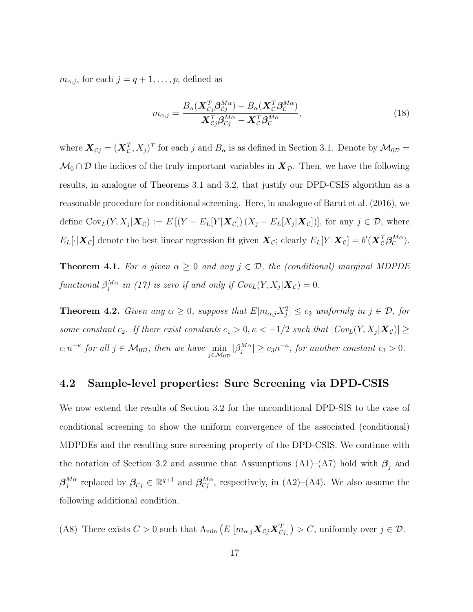$m_{\alpha,j}$ , for each  $j = q + 1, \ldots, p$ , defined as

$$
m_{\alpha,j} = \frac{B_{\alpha}(\mathbf{X}_{\mathcal{C}j}^{T} \boldsymbol{\beta}_{\mathcal{C}j}^{M\alpha}) - B_{\alpha}(\mathbf{X}_{\mathcal{C}}^{T} \boldsymbol{\beta}_{\mathcal{C}}^{M\alpha})}{\mathbf{X}_{\mathcal{C}j}^{T} \boldsymbol{\beta}_{\mathcal{C}j}^{M\alpha} - \mathbf{X}_{\mathcal{C}}^{T} \boldsymbol{\beta}_{\mathcal{C}}^{M\alpha}},
$$
(18)

where  $\bm{X}_{Cj} = (\bm{X}_{C}^{T}, X_j)^{T}$  for each j and  $B_{\alpha}$  is as defined in Section 3.1. Denote by  $\mathcal{M}_{0D} =$  $\mathcal{M}_0 \cap \mathcal{D}$  the indices of the truly important variables in  $\mathbf{X}_{\mathcal{D}}$ . Then, we have the following results, in analogue of Theorems 3.1 and 3.2, that justify our DPD-CSIS algorithm as a reasonable procedure for conditional screening. Here, in analogue of Barut et al. (2016), we define  $Cov_L(Y, X_j | \mathbf{X}_{\mathcal{C}}) := E[(Y - E_L[Y | \mathbf{X}_{\mathcal{C}}]) (X_j - E_L[X_j | \mathbf{X}_{\mathcal{C}}])],$  for any  $j \in \mathcal{D}$ , where  $E_L[\cdot|\boldsymbol{X}_{\mathcal{C}}]$  denote the best linear regression fit given  $\boldsymbol{X}_{\mathcal{C}}$ ; clearly  $E_L[Y|\boldsymbol{X}_{\mathcal{C}}] = b'(\boldsymbol{X}_{\mathcal{C}}^T\boldsymbol{\beta}_{\mathcal{C}}^{M\alpha})$ .

**Theorem 4.1.** For a given  $\alpha \geq 0$  and any  $j \in \mathcal{D}$ , the (conditional) marginal MDPDE functional  $\beta_j^{M\alpha}$  in (17) is zero if and only if  $Cov_L(Y,X_j|\boldsymbol X_{\mathcal{C}})=0$ .

**Theorem 4.2.** Given any  $\alpha \geq 0$ , suppose that  $E[m_{\alpha,j}X_j^2] \leq c_2$  uniformly in  $j \in \mathcal{D}$ , for some constant  $c_2$ . If there exist constants  $c_1 > 0, \kappa < -1/2$  such that  $|Cov_L(Y, X_j|X_c)| \ge$  $c_1 n^{-\kappa}$  for all  $j \in \mathcal{M}_{0D}$ , then we have  $\min_{j \in \mathcal{M}_{0D}} |\beta_j^{M\alpha}| \ge c_3 n^{-\kappa}$ , for another constant  $c_3 > 0$ .

### 4.2 Sample-level properties: Sure Screening via DPD-CSIS

We now extend the results of Section 3.2 for the unconditional DPD-SIS to the case of conditional screening to show the uniform convergence of the associated (conditional) MDPDEs and the resulting sure screening property of the DPD-CSIS. We continue with the notation of Section 3.2 and assume that Assumptions (A1)–(A7) hold with  $\beta_j$  and  ${\boldsymbol \beta}^{M \alpha}_i$  $j^{M\alpha}$  replaced by  $\beta_{C_j} \in \mathbb{R}^{q+1}$  and  $\beta_{C_j}^{M\alpha}$ , respectively, in (A2)–(A4). We also assume the following additional condition.

(A8) There exists  $C > 0$  such that  $\Lambda_{\min} (E \left[ m_{\alpha,j} \mathbf{X}_{\mathcal{C}j} \mathbf{X}_{\mathcal{C}j}^T \right] ) > C$ , uniformly over  $j \in \mathcal{D}$ .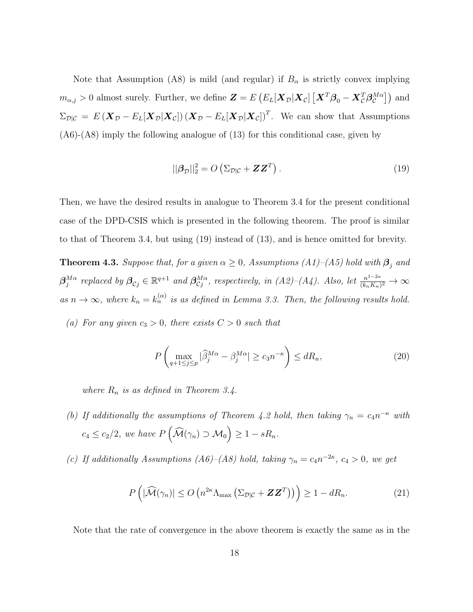Note that Assumption (A8) is mild (and regular) if  $B_{\alpha}$  is strictly convex implying  $m_{\alpha,j} > 0$  almost surely. Further, we define  $\bm{Z} = E\left(E_L[\bm{X}_{\mathcal{D}}|\bm{X}_{\mathcal{C}}]\left[\bm{X}^T\bm{\beta}_0 - \bm{X}_{\mathcal{C}}^T\bm{\beta}_{\mathcal{C}}^{M\alpha}\right]\right)$  and  $\Sigma_{\mathcal{D}|\mathcal{C}} = E(\boldsymbol{X}_{\mathcal{D}} - E_L[\boldsymbol{X}_{\mathcal{D}}|\boldsymbol{X}_{\mathcal{C}}]) (\boldsymbol{X}_{\mathcal{D}} - E_L[\boldsymbol{X}_{\mathcal{D}}|\boldsymbol{X}_{\mathcal{C}}])^T$ . We can show that Assumptions (A6)-(A8) imply the following analogue of (13) for this conditional case, given by

$$
||\boldsymbol{\beta}_{\mathcal{D}}||_2^2 = O\left(\Sigma_{\mathcal{D}|\mathcal{C}} + \mathbf{Z}\mathbf{Z}^T\right).
$$
\n(19)

Then, we have the desired results in analogue to Theorem 3.4 for the present conditional case of the DPD-CSIS which is presented in the following theorem. The proof is similar to that of Theorem 3.4, but using (19) instead of (13), and is hence omitted for brevity.

**Theorem 4.3.** Suppose that, for a given  $\alpha \geq 0$ , Assumptions (A1)–(A5) hold with  $\beta_j$  and  ${\boldsymbol \beta}_i^{M \alpha}$  $j^{M\alpha}$  replaced by  $\beta_{Cj} \in \mathbb{R}^{q+1}$  and  $\beta_{Cj}^{M\alpha}$ , respectively, in  $(A2)$ – $(A4)$ . Also, let  $\frac{n^{1-2\kappa}}{(k_n K_n)}$  $\frac{n^{1-2\kappa}}{(k_nK_n)^2}\to\infty$ as  $n \to \infty$ , where  $k_n = k_n^{(\alpha)}$  is as defined in Lemma 3.3. Then, the following results hold.

(a) For any given  $c_3 > 0$ , there exists  $C > 0$  such that

$$
P\left(\max_{q+1\leq j\leq p}|\widehat{\beta}_j^{M\alpha} - \beta_j^{M\alpha}| \geq c_3 n^{-\kappa}\right) \leq dR_n,\tag{20}
$$

where  $R_n$  is as defined in Theorem 3.4.

- (b) If additionally the assumptions of Theorem 4.2 hold, then taking  $\gamma_n = c_4 n^{-\kappa}$  with  $c_4 \leq c_2/2$ , we have  $P\left(\widehat{\mathcal{M}}(\gamma_n) \supset \mathcal{M}_0\right) \geq 1 - sR_n$ .
- (c) If additionally Assumptions (A6)–(A8) hold, taking  $\gamma_n = c_4 n^{-2\kappa}$ ,  $c_4 > 0$ , we get

$$
P\left(|\widehat{\mathcal{M}}(\gamma_n)| \le O\left(n^{2\kappa} \Lambda_{\max}\left(\Sigma_{\mathcal{D}|\mathcal{C}} + \mathbf{Z}\mathbf{Z}^T\right)\right)\right) \ge 1 - dR_n. \tag{21}
$$

Note that the rate of convergence in the above theorem is exactly the same as in the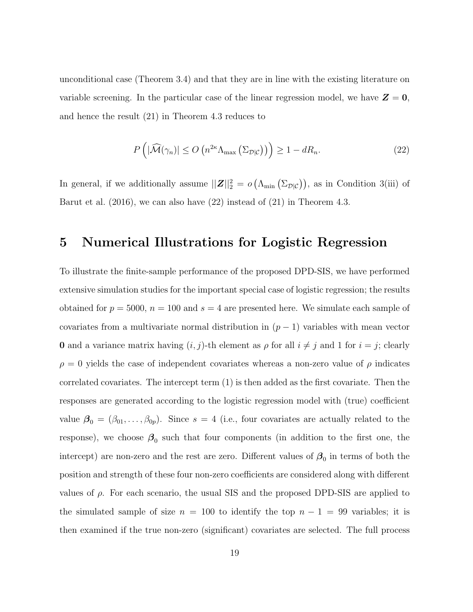unconditional case (Theorem 3.4) and that they are in line with the existing literature on variable screening. In the particular case of the linear regression model, we have  $\mathbf{Z} = \mathbf{0}$ , and hence the result (21) in Theorem 4.3 reduces to

$$
P\left(|\widehat{\mathcal{M}}(\gamma_n)| \le O\left(n^{2\kappa} \Lambda_{\max}\left(\Sigma_{\mathcal{D}|\mathcal{C}}\right)\right)\right) \ge 1 - dR_n. \tag{22}
$$

In general, if we additionally assume  $||\mathbf{Z}||_2^2 = o\left(\Lambda_{\min}\left(\Sigma_{\mathcal{D}|\mathcal{C}}\right)\right)$ , as in Condition 3(iii) of Barut et al. (2016), we can also have (22) instead of (21) in Theorem 4.3.

### 5 Numerical Illustrations for Logistic Regression

To illustrate the finite-sample performance of the proposed DPD-SIS, we have performed extensive simulation studies for the important special case of logistic regression; the results obtained for  $p = 5000$ ,  $n = 100$  and  $s = 4$  are presented here. We simulate each sample of covariates from a multivariate normal distribution in  $(p-1)$  variables with mean vector **0** and a variance matrix having  $(i, j)$ -th element as  $\rho$  for all  $i \neq j$  and 1 for  $i = j$ ; clearly  $\rho = 0$  yields the case of independent covariates whereas a non-zero value of  $\rho$  indicates correlated covariates. The intercept term (1) is then added as the first covariate. Then the responses are generated according to the logistic regression model with (true) coefficient value  $\beta_0 = (\beta_{01}, \dots, \beta_{0p})$ . Since  $s = 4$  (i.e., four covariates are actually related to the response), we choose  $\beta_0$  such that four components (in addition to the first one, the intercept) are non-zero and the rest are zero. Different values of  $\beta_0$  in terms of both the position and strength of these four non-zero coefficients are considered along with different values of  $\rho$ . For each scenario, the usual SIS and the proposed DPD-SIS are applied to the simulated sample of size  $n = 100$  to identify the top  $n - 1 = 99$  variables; it is then examined if the true non-zero (significant) covariates are selected. The full process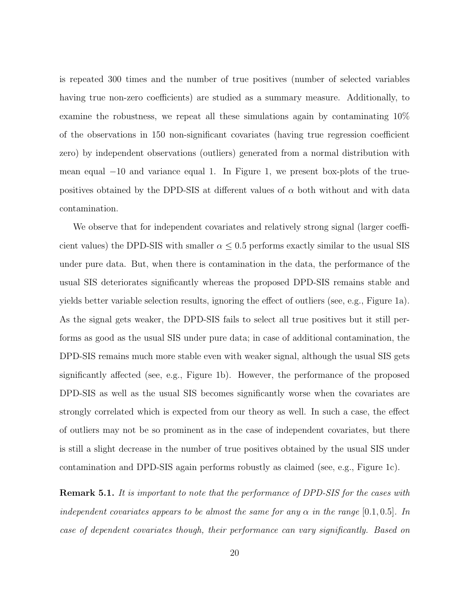is repeated 300 times and the number of true positives (number of selected variables having true non-zero coefficients) are studied as a summary measure. Additionally, to examine the robustness, we repeat all these simulations again by contaminating 10% of the observations in 150 non-significant covariates (having true regression coefficient zero) by independent observations (outliers) generated from a normal distribution with mean equal −10 and variance equal 1. In Figure 1, we present box-plots of the truepositives obtained by the DPD-SIS at different values of  $\alpha$  both without and with data contamination.

We observe that for independent covariates and relatively strong signal (larger coefficient values) the DPD-SIS with smaller  $\alpha \leq 0.5$  performs exactly similar to the usual SIS under pure data. But, when there is contamination in the data, the performance of the usual SIS deteriorates significantly whereas the proposed DPD-SIS remains stable and yields better variable selection results, ignoring the effect of outliers (see, e.g., Figure 1a). As the signal gets weaker, the DPD-SIS fails to select all true positives but it still performs as good as the usual SIS under pure data; in case of additional contamination, the DPD-SIS remains much more stable even with weaker signal, although the usual SIS gets significantly affected (see, e.g., Figure 1b). However, the performance of the proposed DPD-SIS as well as the usual SIS becomes significantly worse when the covariates are strongly correlated which is expected from our theory as well. In such a case, the effect of outliers may not be so prominent as in the case of independent covariates, but there is still a slight decrease in the number of true positives obtained by the usual SIS under contamination and DPD-SIS again performs robustly as claimed (see, e.g., Figure 1c).

**Remark 5.1.** It is important to note that the performance of DPD-SIS for the cases with independent covariates appears to be almost the same for any  $\alpha$  in the range [0.1, 0.5]. In case of dependent covariates though, their performance can vary significantly. Based on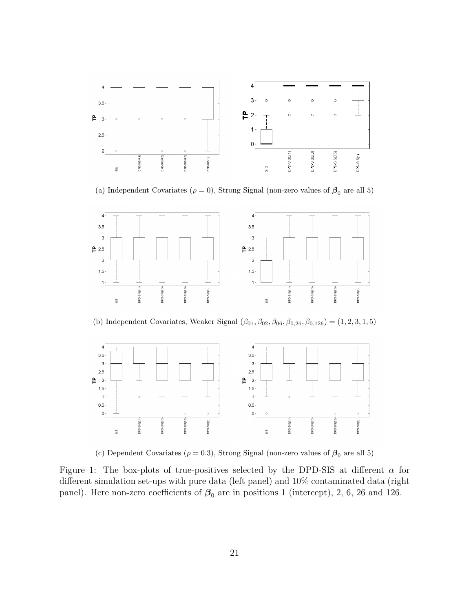

(a) Independent Covariates ( $\rho = 0$ ), Strong Signal (non-zero values of  $\beta_0$  are all 5)



(b) Independent Covariates, Weaker Signal  $(\beta_{01}, \beta_{02}, \beta_{06}, \beta_{0,26}, \beta_{0,126}) = (1, 2, 3, 1, 5)$ 



(c) Dependent Covariates ( $\rho=0.3)$ , Strong Signal (non-zero values of  $\beta_0$  are all 5)

Figure 1: The box-plots of true-positives selected by the DPD-SIS at different  $\alpha$  for different simulation set-ups with pure data (left panel) and 10% contaminated data (right panel). Here non-zero coefficients of  $\beta_0$  are in positions 1 (intercept), 2, 6, 26 and 126.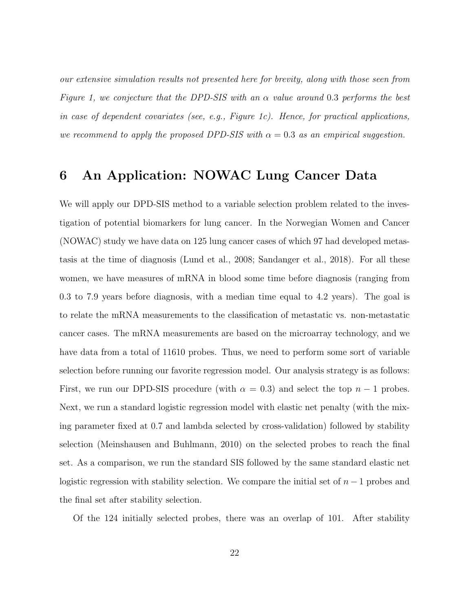our extensive simulation results not presented here for brevity, along with those seen from Figure 1, we conjecture that the DPD-SIS with an  $\alpha$  value around 0.3 performs the best in case of dependent covariates (see, e.g., Figure 1c). Hence, for practical applications, we recommend to apply the proposed DPD-SIS with  $\alpha = 0.3$  as an empirical suggestion.

# 6 An Application: NOWAC Lung Cancer Data

We will apply our DPD-SIS method to a variable selection problem related to the investigation of potential biomarkers for lung cancer. In the Norwegian Women and Cancer (NOWAC) study we have data on 125 lung cancer cases of which 97 had developed metastasis at the time of diagnosis (Lund et al., 2008; Sandanger et al., 2018). For all these women, we have measures of mRNA in blood some time before diagnosis (ranging from 0.3 to 7.9 years before diagnosis, with a median time equal to 4.2 years). The goal is to relate the mRNA measurements to the classification of metastatic vs. non-metastatic cancer cases. The mRNA measurements are based on the microarray technology, and we have data from a total of 11610 probes. Thus, we need to perform some sort of variable selection before running our favorite regression model. Our analysis strategy is as follows: First, we run our DPD-SIS procedure (with  $\alpha = 0.3$ ) and select the top  $n - 1$  probes. Next, we run a standard logistic regression model with elastic net penalty (with the mixing parameter fixed at 0.7 and lambda selected by cross-validation) followed by stability selection (Meinshausen and Buhlmann, 2010) on the selected probes to reach the final set. As a comparison, we run the standard SIS followed by the same standard elastic net logistic regression with stability selection. We compare the initial set of  $n-1$  probes and the final set after stability selection.

Of the 124 initially selected probes, there was an overlap of 101. After stability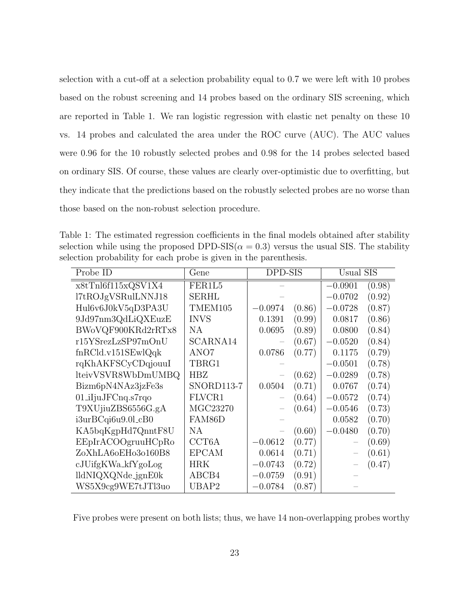selection with a cut-off at a selection probability equal to 0.7 we were left with 10 probes based on the robust screening and 14 probes based on the ordinary SIS screening, which are reported in Table 1. We ran logistic regression with elastic net penalty on these 10 vs. 14 probes and calculated the area under the ROC curve (AUC). The AUC values were 0.96 for the 10 robustly selected probes and 0.98 for the 14 probes selected based on ordinary SIS. Of course, these values are clearly over-optimistic due to overfitting, but they indicate that the predictions based on the robustly selected probes are no worse than those based on the non-robust selection procedure.

Table 1: The estimated regression coefficients in the final models obtained after stability selection while using the proposed DPD-SIS( $\alpha = 0.3$ ) versus the usual SIS. The stability selection probability for each probe is given in the parenthesis.

| Probe ID                      | Gene               | DPD-SIS   |        | Usual SIS                |        |
|-------------------------------|--------------------|-----------|--------|--------------------------|--------|
| x8tTnl6f115xQSV1X4            | FER1L5             |           |        | $-0.0901$                | (0.98) |
| l7tROJgVSRulLNNJ18            | <b>SERHL</b>       |           |        | $-0.0702$                | (0.92) |
| Hul6v6J0kV5qD3PA3U            | TMEM105            | $-0.0974$ | (0.86) | $-0.0728$                | (0.87) |
| 9Jd97nm3QdLiQXEuzE            | <b>INVS</b>        | 0.1391    | (0.99) | 0.0817                   | (0.86) |
| BWoVQF900KRd2rRTx8            | NА                 | 0.0695    | (0.89) | 0.0800                   | (0.84) |
| r15YSrezLzSP97mOnU            | SCARNA14           |           | (0.67) | $-0.0520$                | (0.84) |
| fnRCld.v151SEwlQqk            | ANO7               | 0.0786    | (0.77) | 0.1175                   | (0.79) |
| rqKhAKFSCyCDqjouuI            | TBRG1              |           |        | $-0.0501$                | (0.78) |
| lteivVSVR8WbDmUMBQ            | <b>HBZ</b>         |           | (0.62) | $-0.0289$                | (0.78) |
| Bizm6pN4NAz3jzFe3s            | SNORD113-7         | 0.0504    | (0.71) | 0.0767                   | (0.74) |
| $01$ _iIjuJF $C$ nq.s $7$ rqo | FLVCR1             |           | (0.64) | $-0.0572$                | (0.74) |
| T9XUjiuZBS6556G.gA            | MGC23270           |           | (0.64) | $-0.0546$                | (0.73) |
| $i3urBCqi6u9.0l_cB0$          | FAM86D             |           |        | 0.0582                   | (0.70) |
| KA5bqKgpHd7QnntF8U            | NA.                |           | (0.60) | $-0.0480$                | (0.70) |
| EEpIrACOOgruuHCpRo            | CCT <sub>6</sub> A | $-0.0612$ | (0.77) | $\qquad \qquad -$        | (0.69) |
| ZoXhLA6oEHo3o160B8            | <b>EPCAM</b>       | 0.0614    | (0.71) | $\overline{\phantom{0}}$ | (0.61) |
| $cJU$ ifg $KWa_kfYg0Log$      | HRK                | $-0.0743$ | (0.72) |                          | (0.47) |
| lldNIQXQNde_jgnE0k            | ABCB4              | $-0.0759$ | (0.91) |                          |        |
| WS5X9cg9WE7tJTl3uo            | UBAP2              | $-0.0784$ | (0.87) |                          |        |

Five probes were present on both lists; thus, we have 14 non-overlapping probes worthy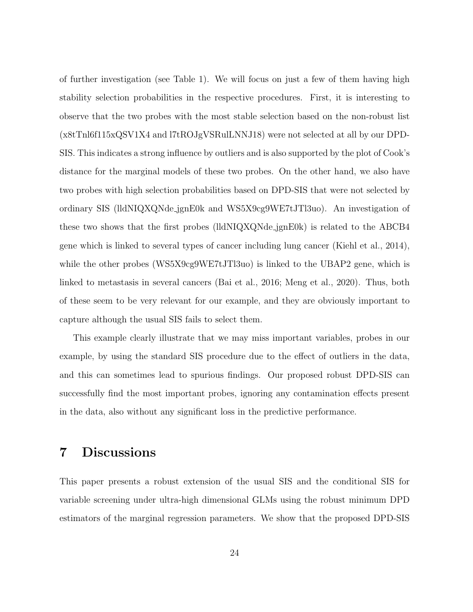of further investigation (see Table 1). We will focus on just a few of them having high stability selection probabilities in the respective procedures. First, it is interesting to observe that the two probes with the most stable selection based on the non-robust list (x8tTnl6f115xQSV1X4 and l7tROJgVSRulLNNJ18) were not selected at all by our DPD-SIS. This indicates a strong influence by outliers and is also supported by the plot of Cook's distance for the marginal models of these two probes. On the other hand, we also have two probes with high selection probabilities based on DPD-SIS that were not selected by ordinary SIS (lldNIQXQNde jgnE0k and WS5X9cg9WE7tJTl3uo). An investigation of these two shows that the first probes (lldNIQXQNde jgnE0k) is related to the ABCB4 gene which is linked to several types of cancer including lung cancer (Kiehl et al., 2014), while the other probes (WS5X9cg9WE7tJTl3uo) is linked to the UBAP2 gene, which is linked to metastasis in several cancers (Bai et al., 2016; Meng et al., 2020). Thus, both of these seem to be very relevant for our example, and they are obviously important to capture although the usual SIS fails to select them.

This example clearly illustrate that we may miss important variables, probes in our example, by using the standard SIS procedure due to the effect of outliers in the data, and this can sometimes lead to spurious findings. Our proposed robust DPD-SIS can successfully find the most important probes, ignoring any contamination effects present in the data, also without any significant loss in the predictive performance.

# 7 Discussions

This paper presents a robust extension of the usual SIS and the conditional SIS for variable screening under ultra-high dimensional GLMs using the robust minimum DPD estimators of the marginal regression parameters. We show that the proposed DPD-SIS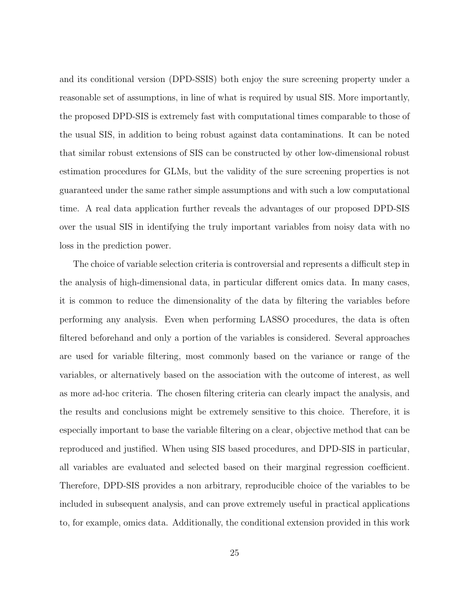and its conditional version (DPD-SSIS) both enjoy the sure screening property under a reasonable set of assumptions, in line of what is required by usual SIS. More importantly, the proposed DPD-SIS is extremely fast with computational times comparable to those of the usual SIS, in addition to being robust against data contaminations. It can be noted that similar robust extensions of SIS can be constructed by other low-dimensional robust estimation procedures for GLMs, but the validity of the sure screening properties is not guaranteed under the same rather simple assumptions and with such a low computational time. A real data application further reveals the advantages of our proposed DPD-SIS over the usual SIS in identifying the truly important variables from noisy data with no loss in the prediction power.

The choice of variable selection criteria is controversial and represents a difficult step in the analysis of high-dimensional data, in particular different omics data. In many cases, it is common to reduce the dimensionality of the data by filtering the variables before performing any analysis. Even when performing LASSO procedures, the data is often filtered beforehand and only a portion of the variables is considered. Several approaches are used for variable filtering, most commonly based on the variance or range of the variables, or alternatively based on the association with the outcome of interest, as well as more ad-hoc criteria. The chosen filtering criteria can clearly impact the analysis, and the results and conclusions might be extremely sensitive to this choice. Therefore, it is especially important to base the variable filtering on a clear, objective method that can be reproduced and justified. When using SIS based procedures, and DPD-SIS in particular, all variables are evaluated and selected based on their marginal regression coefficient. Therefore, DPD-SIS provides a non arbitrary, reproducible choice of the variables to be included in subsequent analysis, and can prove extremely useful in practical applications to, for example, omics data. Additionally, the conditional extension provided in this work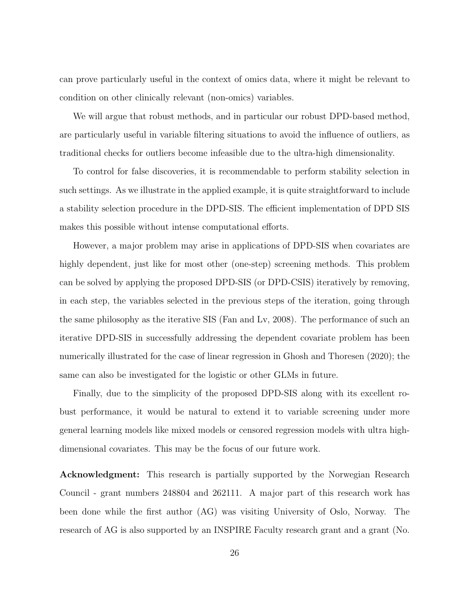can prove particularly useful in the context of omics data, where it might be relevant to condition on other clinically relevant (non-omics) variables.

We will argue that robust methods, and in particular our robust DPD-based method, are particularly useful in variable filtering situations to avoid the influence of outliers, as traditional checks for outliers become infeasible due to the ultra-high dimensionality.

To control for false discoveries, it is recommendable to perform stability selection in such settings. As we illustrate in the applied example, it is quite straightforward to include a stability selection procedure in the DPD-SIS. The efficient implementation of DPD SIS makes this possible without intense computational efforts.

However, a major problem may arise in applications of DPD-SIS when covariates are highly dependent, just like for most other (one-step) screening methods. This problem can be solved by applying the proposed DPD-SIS (or DPD-CSIS) iteratively by removing, in each step, the variables selected in the previous steps of the iteration, going through the same philosophy as the iterative SIS (Fan and Lv, 2008). The performance of such an iterative DPD-SIS in successfully addressing the dependent covariate problem has been numerically illustrated for the case of linear regression in Ghosh and Thoresen (2020); the same can also be investigated for the logistic or other GLMs in future.

Finally, due to the simplicity of the proposed DPD-SIS along with its excellent robust performance, it would be natural to extend it to variable screening under more general learning models like mixed models or censored regression models with ultra highdimensional covariates. This may be the focus of our future work.

Acknowledgment: This research is partially supported by the Norwegian Research Council - grant numbers 248804 and 262111. A major part of this research work has been done while the first author (AG) was visiting University of Oslo, Norway. The research of AG is also supported by an INSPIRE Faculty research grant and a grant (No.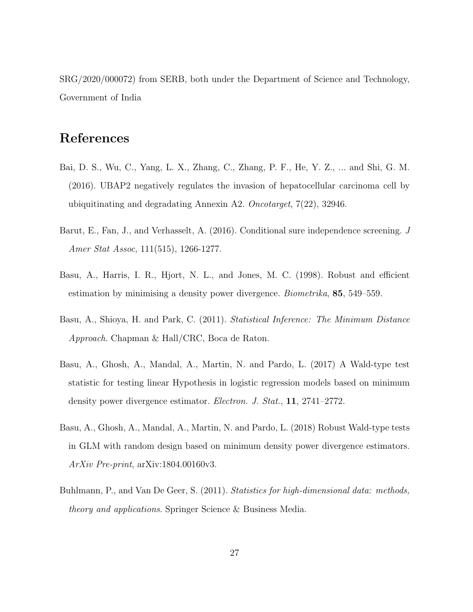SRG/2020/000072) from SERB, both under the Department of Science and Technology, Government of India

# References

- Bai, D. S., Wu, C., Yang, L. X., Zhang, C., Zhang, P. F., He, Y. Z., ... and Shi, G. M. (2016). UBAP2 negatively regulates the invasion of hepatocellular carcinoma cell by ubiquitinating and degradating Annexin A2. Oncotarget, 7(22), 32946.
- Barut, E., Fan, J., and Verhasselt, A. (2016). Conditional sure independence screening. J Amer Stat Assoc, 111(515), 1266-1277.
- Basu, A., Harris, I. R., Hjort, N. L., and Jones, M. C. (1998). Robust and efficient estimation by minimising a density power divergence. Biometrika, 85, 549–559.
- Basu, A., Shioya, H. and Park, C. (2011). Statistical Inference: The Minimum Distance Approach. Chapman & Hall/CRC, Boca de Raton.
- Basu, A., Ghosh, A., Mandal, A., Martin, N. and Pardo, L. (2017) A Wald-type test statistic for testing linear Hypothesis in logistic regression models based on minimum density power divergence estimator. Electron. J. Stat., 11, 2741–2772.
- Basu, A., Ghosh, A., Mandal, A., Martin, N. and Pardo, L. (2018) Robust Wald-type tests in GLM with random design based on minimum density power divergence estimators. ArXiv Pre-print, arXiv:1804.00160v3.
- Buhlmann, P., and Van De Geer, S. (2011). Statistics for high-dimensional data: methods, theory and applications. Springer Science & Business Media.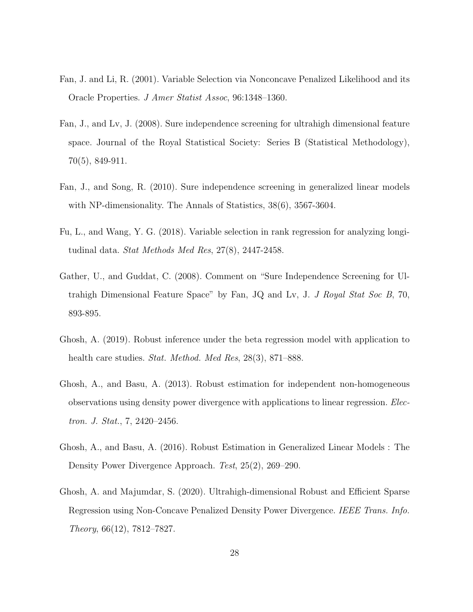- Fan, J. and Li, R. (2001). Variable Selection via Nonconcave Penalized Likelihood and its Oracle Properties. J Amer Statist Assoc, 96:1348–1360.
- Fan, J., and Lv, J. (2008). Sure independence screening for ultrahigh dimensional feature space. Journal of the Royal Statistical Society: Series B (Statistical Methodology), 70(5), 849-911.
- Fan, J., and Song, R. (2010). Sure independence screening in generalized linear models with NP-dimensionality. The Annals of Statistics, 38(6), 3567-3604.
- Fu, L., and Wang, Y. G. (2018). Variable selection in rank regression for analyzing longitudinal data. Stat Methods Med Res, 27(8), 2447-2458.
- Gather, U., and Guddat, C. (2008). Comment on "Sure Independence Screening for Ultrahigh Dimensional Feature Space" by Fan, JQ and Lv, J. J Royal Stat Soc B, 70, 893-895.
- Ghosh, A. (2019). Robust inference under the beta regression model with application to health care studies. *Stat. Method. Med Res*, 28(3), 871–888.
- Ghosh, A., and Basu, A. (2013). Robust estimation for independent non-homogeneous observations using density power divergence with applications to linear regression. Electron. J. Stat., 7, 2420–2456.
- Ghosh, A., and Basu, A. (2016). Robust Estimation in Generalized Linear Models : The Density Power Divergence Approach. Test, 25(2), 269–290.
- Ghosh, A. and Majumdar, S. (2020). Ultrahigh-dimensional Robust and Efficient Sparse Regression using Non-Concave Penalized Density Power Divergence. IEEE Trans. Info. Theory, 66(12), 7812–7827.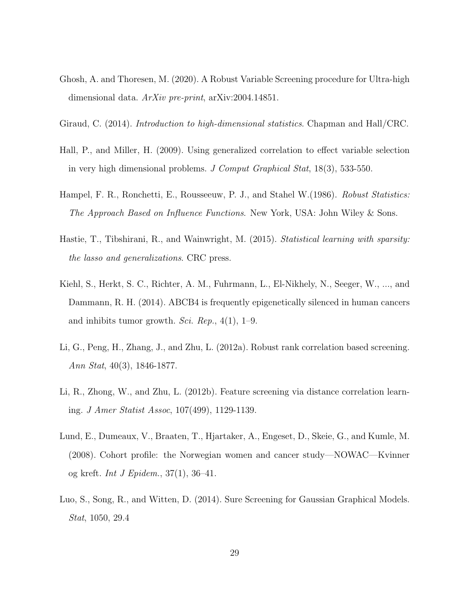- Ghosh, A. and Thoresen, M. (2020). A Robust Variable Screening procedure for Ultra-high dimensional data. ArXiv pre-print, arXiv:2004.14851.
- Giraud, C. (2014). Introduction to high-dimensional statistics. Chapman and Hall/CRC.
- Hall, P., and Miller, H. (2009). Using generalized correlation to effect variable selection in very high dimensional problems. J Comput Graphical Stat, 18(3), 533-550.
- Hampel, F. R., Ronchetti, E., Rousseeuw, P. J., and Stahel W. (1986). Robust Statistics: The Approach Based on Influence Functions. New York, USA: John Wiley & Sons.
- Hastie, T., Tibshirani, R., and Wainwright, M. (2015). Statistical learning with sparsity: the lasso and generalizations. CRC press.
- Kiehl, S., Herkt, S. C., Richter, A. M., Fuhrmann, L., El-Nikhely, N., Seeger, W., ..., and Dammann, R. H. (2014). ABCB4 is frequently epigenetically silenced in human cancers and inhibits tumor growth. Sci. Rep.,  $4(1)$ , 1–9.
- Li, G., Peng, H., Zhang, J., and Zhu, L. (2012a). Robust rank correlation based screening. Ann Stat, 40(3), 1846-1877.
- Li, R., Zhong, W., and Zhu, L. (2012b). Feature screening via distance correlation learning. J Amer Statist Assoc, 107(499), 1129-1139.
- Lund, E., Dumeaux, V., Braaten, T., Hjartaker, A., Engeset, D., Skeie, G., and Kumle, M. (2008). Cohort profile: the Norwegian women and cancer study—NOWAC—Kvinner og kreft. Int J Epidem.,  $37(1)$ ,  $36-41$ .
- Luo, S., Song, R., and Witten, D. (2014). Sure Screening for Gaussian Graphical Models. Stat, 1050, 29.4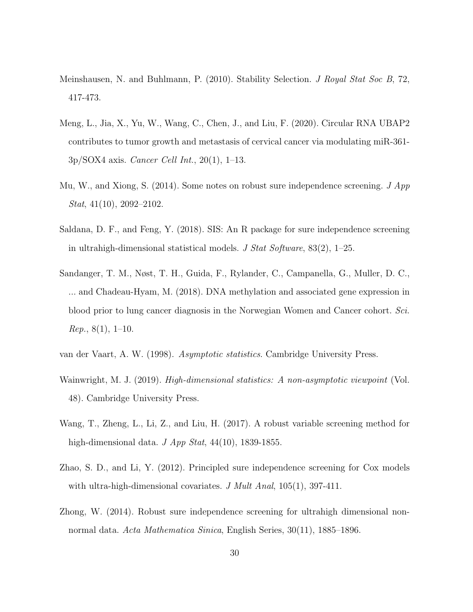- Meinshausen, N. and Buhlmann, P. (2010). Stability Selection. *J Royal Stat Soc B*, 72, 417-473.
- Meng, L., Jia, X., Yu, W., Wang, C., Chen, J., and Liu, F. (2020). Circular RNA UBAP2 contributes to tumor growth and metastasis of cervical cancer via modulating miR-361-  $3p/SOX4$  axis. *Cancer Cell Int.*,  $20(1)$ ,  $1-13$ .
- Mu, W., and Xiong, S. (2014). Some notes on robust sure independence screening.  $J App$ Stat, 41(10), 2092–2102.
- Saldana, D. F., and Feng, Y. (2018). SIS: An R package for sure independence screening in ultrahigh-dimensional statistical models. J Stat Software,  $83(2)$ , 1–25.
- Sandanger, T. M., Nøst, T. H., Guida, F., Rylander, C., Campanella, G., Muller, D. C., ... and Chadeau-Hyam, M. (2018). DNA methylation and associated gene expression in blood prior to lung cancer diagnosis in the Norwegian Women and Cancer cohort. Sci.  $Rep., 8(1), 1-10.$
- van der Vaart, A. W. (1998). Asymptotic statistics. Cambridge University Press.
- Wainwright, M. J. (2019). *High-dimensional statistics: A non-asymptotic viewpoint* (Vol. 48). Cambridge University Press.
- Wang, T., Zheng, L., Li, Z., and Liu, H. (2017). A robust variable screening method for high-dimensional data.  $J$  App Stat, 44(10), 1839-1855.
- Zhao, S. D., and Li, Y. (2012). Principled sure independence screening for Cox models with ultra-high-dimensional covariates. J Mult Anal, 105(1), 397-411.
- Zhong, W. (2014). Robust sure independence screening for ultrahigh dimensional nonnormal data. Acta Mathematica Sinica, English Series, 30(11), 1885–1896.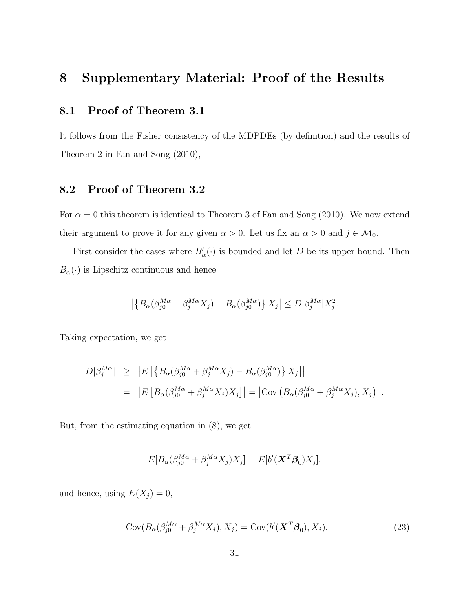# 8 Supplementary Material: Proof of the Results

### 8.1 Proof of Theorem 3.1

It follows from the Fisher consistency of the MDPDEs (by definition) and the results of Theorem 2 in Fan and Song (2010),

### 8.2 Proof of Theorem 3.2

For  $\alpha = 0$  this theorem is identical to Theorem 3 of Fan and Song (2010). We now extend their argument to prove it for any given  $\alpha > 0$ . Let us fix an  $\alpha > 0$  and  $j \in \mathcal{M}_0$ .

First consider the cases where  $B'_{\alpha}(\cdot)$  is bounded and let D be its upper bound. Then  $B_{\alpha}(\cdot)$  is Lipschitz continuous and hence

$$
\left| \left\{ B_{\alpha}(\beta_{j0}^{M\alpha} + \beta_j^{M\alpha} X_j) - B_{\alpha}(\beta_{j0}^{M\alpha}) \right\} X_j \right| \le D |\beta_j^{M\alpha} | X_j^2.
$$

Taking expectation, we get

$$
D|\beta_j^{M\alpha}| \geq |E[\left\{B_{\alpha}(\beta_{j0}^{M\alpha} + \beta_j^{M\alpha}X_j) - B_{\alpha}(\beta_{j0}^{M\alpha})\right\}X_j]|
$$
  
= 
$$
|E[B_{\alpha}(\beta_{j0}^{M\alpha} + \beta_j^{M\alpha}X_j)X_j]| = |\text{Cov}(B_{\alpha}(\beta_{j0}^{M\alpha} + \beta_j^{M\alpha}X_j), X_j)|.
$$

But, from the estimating equation in (8), we get

$$
E[B_{\alpha}(\beta_{j0}^{M\alpha} + \beta_j^{M\alpha} X_j)X_j] = E[b'(\mathbf{X}^T \boldsymbol{\beta}_0)X_j],
$$

and hence, using  $E(X_j) = 0$ ,

$$
Cov(B_{\alpha}(\beta_{j0}^{M\alpha} + \beta_{j}^{M\alpha}X_{j}), X_{j}) = Cov(b'(\mathbf{X}^{T}\boldsymbol{\beta}_{0}), X_{j}).
$$
\n(23)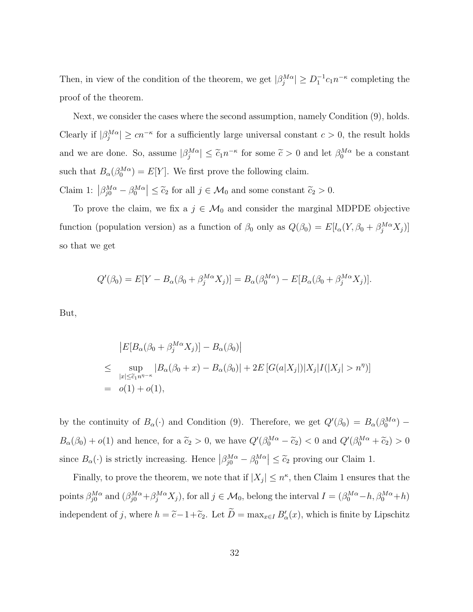Then, in view of the condition of the theorem, we get  $|\beta_j^{M\alpha}| \ge D_1^{-1}c_1n^{-\kappa}$  completing the proof of the theorem.

Next, we consider the cases where the second assumption, namely Condition (9), holds. Clearly if  $|\beta_j^{M\alpha}| \geq cn^{-\kappa}$  for a sufficiently large universal constant  $c > 0$ , the result holds and we are done. So, assume  $|\beta_j^{M\alpha}| \leq \tilde{c}_1 n^{-\kappa}$  for some  $\tilde{c} > 0$  and let  $\beta_0^{M\alpha}$  be a constant such that  $B_{\alpha}(\beta_0^{M\alpha}) = E[Y]$ . We first prove the following claim. Claim 1:  $\left|\beta_{j0}^{M\alpha} - \beta_0^{M\alpha}\right| \leq \tilde{c}_2$  for all  $j \in \mathcal{M}_0$  and some constant  $\tilde{c}_2 > 0$ .

To prove the claim, we fix a  $j \in \mathcal{M}_0$  and consider the marginal MDPDE objective function (population version) as a function of  $\beta_0$  only as  $Q(\beta_0) = E[l_\alpha(Y, \beta_0 + \beta_j^{M\alpha}X_j)]$ so that we get

$$
Q'(\beta_0) = E[Y - B_{\alpha}(\beta_0 + \beta_j^{M\alpha}X_j)] = B_{\alpha}(\beta_0^{M\alpha}) - E[B_{\alpha}(\beta_0 + \beta_j^{M\alpha}X_j)].
$$

But,

$$
|E[B_{\alpha}(\beta_0 + \beta_j^{M\alpha} X_j)] - B_{\alpha}(\beta_0)|
$$
  
\n
$$
\leq \sup_{|x| \leq \tilde{c}_1 n^{\eta - \kappa}} |B_{\alpha}(\beta_0 + x) - B_{\alpha}(\beta_0)| + 2E[G(a|X_j|)|X_j|I(|X_j| > n^{\eta})]
$$
  
\n
$$
= o(1) + o(1),
$$

by the continuity of  $B_\alpha(\cdot)$  and Condition (9). Therefore, we get  $Q'(\beta_0) = B_\alpha(\beta_0^{M\alpha})$  –  $B_{\alpha}(\beta_0) + o(1)$  and hence, for a  $\tilde{c}_2 > 0$ , we have  $Q'(\beta_0^{M\alpha} - \tilde{c}_2) < 0$  and  $Q'(\beta_0^{M\alpha} + \tilde{c}_2) > 0$ since  $B_\alpha(\cdot)$  is strictly increasing. Hence  $\left|\beta_{j0}^{M\alpha} - \beta_0^{M\alpha}\right| \leq \tilde{c}_2$  proving our Claim 1.

Finally, to prove the theorem, we note that if  $|X_j| \leq n^{\kappa}$ , then Claim 1 ensures that the points  $\beta_{j0}^{M\alpha}$  and  $(\beta_{j0}^{M\alpha} + \beta_{j0}^{M\alpha} X_j)$ , for all  $j \in \mathcal{M}_0$ , belong the interval  $I = (\beta_{0}^{M\alpha} - h, \beta_{0}^{M\alpha} + h)$ independent of j, where  $h = \tilde{c} - 1 + \tilde{c}_2$ . Let  $\tilde{D} = \max_{x \in I} B'_{\alpha}(x)$ , which is finite by Lipschitz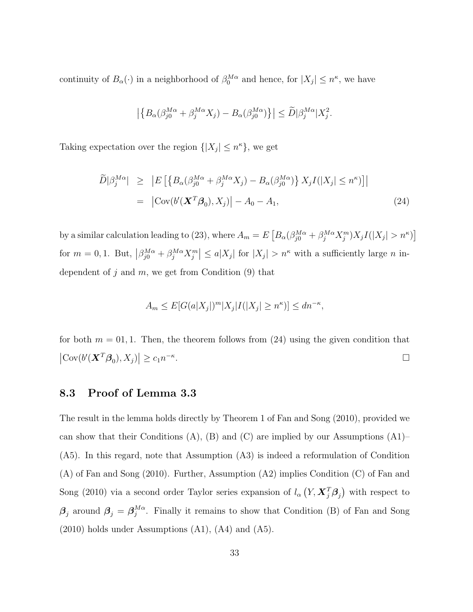continuity of  $B_\alpha(\cdot)$  in a neighborhood of  $\beta_0^{M\alpha}$  and hence, for  $|X_j| \leq n^{\kappa}$ , we have

$$
\left| \left\{ B_{\alpha}(\beta_{j0}^{M\alpha} + \beta_j^{M\alpha} X_j) - B_{\alpha}(\beta_{j0}^{M\alpha}) \right\} \right| \le \widetilde{D} |\beta_j^{M\alpha} | X_j^2.
$$

Taking expectation over the region  $\{|X_j| \leq n^{\kappa}\}\,$ , we get

$$
\widetilde{D}|\beta_j^{M\alpha}| \geq \left| E\left[ \left\{ B_{\alpha}(\beta_{j0}^{M\alpha} + \beta_j^{M\alpha} X_j) - B_{\alpha}(\beta_{j0}^{M\alpha}) \right\} X_j I(|X_j| \leq n^{\kappa}) \right] \right|
$$
\n
$$
= \left| \text{Cov}(b'(\mathbf{X}^T \boldsymbol{\beta}_0), X_j) \right| - A_0 - A_1,\tag{24}
$$

by a similar calculation leading to (23), where  $A_m = E \left[ B_\alpha (\beta_{j0}^{M\alpha} + \beta_j^{M\alpha} X_j^m) X_j I(|X_j| > n^{\kappa}) \right]$ for  $m = 0, 1$ . But,  $\left|\beta_{j0}^{M\alpha} + \beta_{j}^{M\alpha} X_{j}^{m}\right| \leq a|X_{j}|$  for  $|X_{j}| > n^{\kappa}$  with a sufficiently large n independent of j and  $m$ , we get from Condition  $(9)$  that

$$
A_m \le E[G(a|X_j])^m |X_j|I(|X_j| \ge n^{\kappa})] \le dn^{-\kappa},
$$

for both  $m = 01, 1$ . Then, the theorem follows from (24) using the given condition that  $\left|\text{Cov}(b'(\boldsymbol{X}^T\boldsymbol{\beta}_0),X_j)\right|\geq c_1n^{-\kappa}$ .

#### 8.3 Proof of Lemma 3.3

The result in the lemma holds directly by Theorem 1 of Fan and Song (2010), provided we can show that their Conditions  $(A)$ ,  $(B)$  and  $(C)$  are implied by our Assumptions  $(A1)$ – (A5). In this regard, note that Assumption (A3) is indeed a reformulation of Condition (A) of Fan and Song (2010). Further, Assumption (A2) implies Condition (C) of Fan and Song (2010) via a second order Taylor series expansion of  $l_{\alpha}(Y, \boldsymbol{X}_{j}^{T}\boldsymbol{\beta}_{j})$  with respect to  $\boldsymbol{\beta}_j$  around  $\boldsymbol{\beta}_j = \boldsymbol{\beta}_j^{M\alpha}$  $_{j}^{M\alpha}$ . Finally it remains to show that Condition (B) of Fan and Song  $(2010)$  holds under Assumptions  $(A1)$ ,  $(A4)$  and  $(A5)$ .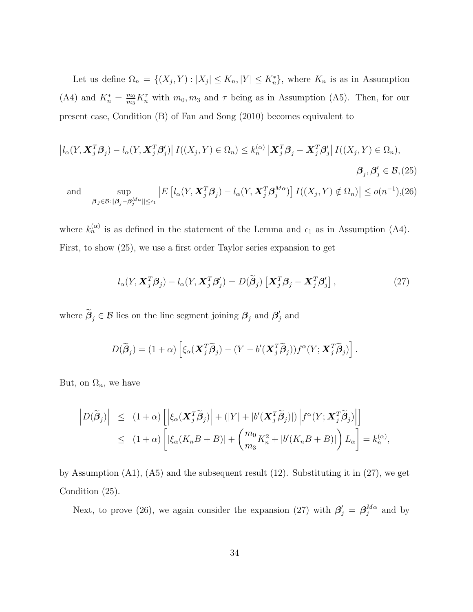Let us define  $\Omega_n = \{(X_j, Y) : |X_j| \leq K_n, |Y| \leq K_n^*\}$ , where  $K_n$  is as in Assumption (A4) and  $K_n^* = \frac{m_0}{m_3}$  $\frac{m_0}{m_3} K_n^{\tau}$  with  $m_0, m_3$  and  $\tau$  being as in Assumption (A5). Then, for our present case, Condition (B) of Fan and Song (2010) becomes equivalent to

$$
\left|l_{\alpha}(Y, \mathbf{X}_{j}^{T}\boldsymbol{\beta}_{j}) - l_{\alpha}(Y, \mathbf{X}_{j}^{T}\boldsymbol{\beta}_{j}')\right| I((X_{j}, Y) \in \Omega_{n}) \leq k_{n}^{(\alpha)} \left| \mathbf{X}_{j}^{T}\boldsymbol{\beta}_{j} - \mathbf{X}_{j}^{T}\boldsymbol{\beta}_{j}'\right| I((X_{j}, Y) \in \Omega_{n}),
$$
  
\n
$$
\beta_{j}, \beta_{j}' \in \mathcal{B}, (25)
$$
  
\nand  
\n
$$
\sup_{\beta_{j} \in \mathcal{B}: ||\boldsymbol{\beta}_{j} - \boldsymbol{\beta}_{j}^{M\alpha}|| \leq \epsilon_{1}} \left| E\left[l_{\alpha}(Y, \mathbf{X}_{j}^{T}\boldsymbol{\beta}_{j}) - l_{\alpha}(Y, \mathbf{X}_{j}^{T}\boldsymbol{\beta}_{j}^{M\alpha})\right] I((X_{j}, Y) \notin \Omega_{n})\right| \leq o(n^{-1}), (26)
$$

where  $k_n^{(\alpha)}$  is as defined in the statement of the Lemma and  $\epsilon_1$  as in Assumption (A4). First, to show (25), we use a first order Taylor series expansion to get

$$
l_{\alpha}(Y, \boldsymbol{X}_{j}^{T} \boldsymbol{\beta}_{j}) - l_{\alpha}(Y, \boldsymbol{X}_{j}^{T} \boldsymbol{\beta}_{j}') = D(\widetilde{\boldsymbol{\beta}}_{j}) \left[ \boldsymbol{X}_{j}^{T} \boldsymbol{\beta}_{j} - \boldsymbol{X}_{j}^{T} \boldsymbol{\beta}_{j}' \right],
$$
\n(27)

where  $\widetilde{\beta}_j \in \mathcal{B}$  lies on the line segment joining  $\beta_j$  and  $\beta'_j$  $'_j$  and

$$
D(\widetilde{\boldsymbol{\beta}}_j) = (1+\alpha)\left[\xi_\alpha(\boldsymbol{X}_j^T\widetilde{\boldsymbol{\beta}}_j) - (Y - b'(\boldsymbol{X}_j^T\widetilde{\boldsymbol{\beta}}_j))f^\alpha(Y;\boldsymbol{X}_j^T\widetilde{\boldsymbol{\beta}}_j)\right].
$$

But, on  $\Omega_n$ , we have

$$
\left| D(\widetilde{\boldsymbol{\beta}}_j) \right| \leq (1+\alpha) \left[ \left| \xi_\alpha (\boldsymbol{X}_j^T \widetilde{\boldsymbol{\beta}}_j) \right| + (|Y| + |b'(\boldsymbol{X}_j^T \widetilde{\boldsymbol{\beta}}_j)|) \left| f^\alpha (Y; \boldsymbol{X}_j^T \widetilde{\boldsymbol{\beta}}_j) \right| \right] \leq (1+\alpha) \left[ \left| \xi_\alpha (K_n B + B) \right| + \left( \frac{m_0}{m_3} K_n^2 + |b'(K_n B + B)| \right) L_\alpha \right] = k_n^{(\alpha)},
$$

by Assumption (A1), (A5) and the subsequent result (12). Substituting it in (27), we get Condition (25).

Next, to prove (26), we again consider the expansion (27) with  $\beta'_{j} = \beta_{j}^{M\alpha}$  $j^{M\alpha}$  and by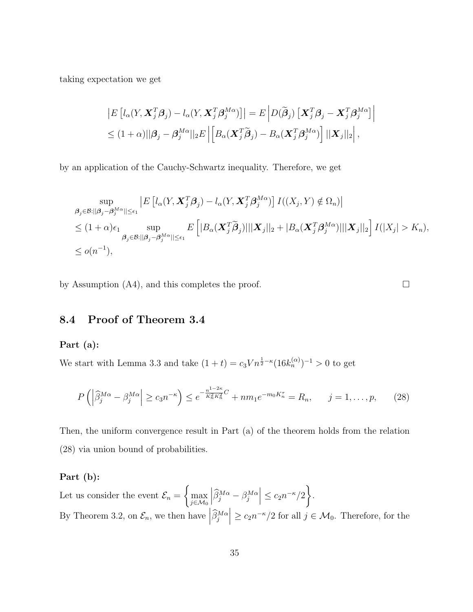taking expectation we get

$$
\begin{aligned} \left| E\left[ l_{\alpha}(Y, \boldsymbol{X}_{j}^{T}\boldsymbol{\beta}_{j}) - l_{\alpha}(Y, \boldsymbol{X}_{j}^{T}\boldsymbol{\beta}_{j}^{M\alpha}) \right] \right| &= E\left| D(\widetilde{\boldsymbol{\beta}}_{j}) \left[ \boldsymbol{X}_{j}^{T}\boldsymbol{\beta}_{j} - \boldsymbol{X}_{j}^{T}\boldsymbol{\beta}_{j}^{M\alpha} \right] \right| \\ &\leq (1+\alpha) ||\boldsymbol{\beta}_{j} - \boldsymbol{\beta}_{j}^{M\alpha}||_{2} E\left| \left[ B_{\alpha}(\boldsymbol{X}_{j}^{T}\widetilde{\boldsymbol{\beta}}_{j}) - B_{\alpha}(\boldsymbol{X}_{j}^{T}\boldsymbol{\beta}_{j}^{M\alpha}) \right] ||\boldsymbol{X}_{j}||_{2} \right|, \end{aligned}
$$

by an application of the Cauchy-Schwartz inequality. Therefore, we get

$$
\sup_{\beta_j \in \mathcal{B}: ||\beta_j - \beta_j^{M\alpha}|| \leq \epsilon_1} \left| E\left[ l_{\alpha}(Y, \mathbf{X}_j^T \beta_j) - l_{\alpha}(Y, \mathbf{X}_j^T \beta_j^{M\alpha}) \right] I((X_j, Y) \notin \Omega_n) \right|
$$
  
\n
$$
\leq (1 + \alpha)\epsilon_1 \sup_{\beta_j \in \mathcal{B}: ||\beta_j - \beta_j^{M\alpha}|| \leq \epsilon_1} E\left[ |B_{\alpha}(\mathbf{X}_j^T \widetilde{\beta}_j)| ||\mathbf{X}_j||_2 + |B_{\alpha}(\mathbf{X}_j^T \beta_j^{M\alpha})|| \mathbf{X}_j||_2 \right] I(|X_j| > K_n),
$$
  
\n
$$
\leq o(n^{-1}),
$$

by Assumption (A4), and this completes the proof.  $\Box$ 

### 8.4 Proof of Theorem 3.4

#### Part (a):

We start with Lemma 3.3 and take  $(1 + t) = c_3 V n^{\frac{1}{2} - \kappa} (16k_n^{(\alpha)})^{-1} > 0$  to get

$$
P\left(\left|\widehat{\beta}_j^{M\alpha} - \beta_j^{M\alpha}\right| \ge c_3 n^{-\kappa}\right) \le e^{-\frac{n^{1-2\kappa}}{K_n^2 K_n^2}C} + nm_1 e^{-m_0 K_n^{\tau}} = R_n, \qquad j = 1, \dots, p, \tag{28}
$$

Then, the uniform convergence result in Part (a) of the theorem holds from the relation (28) via union bound of probabilities.

#### Part (b):

Let us consider the event  $\mathcal{E}_n =$  $\int$ max j∈M<sup>0</sup>  $\left| \widehat{\beta}_{j}^{M\alpha} - \beta_{j}^{M\alpha} \right| \leq c_2 n^{-\kappa}/2$ . By Theorem 3.2, on  $\mathcal{E}_n$ , we then have  $\left|\widehat{\beta}_j^{M\alpha}\right| \ge c_2 n^{-\kappa}/2$  for all  $j \in \mathcal{M}_0$ . Therefore, for the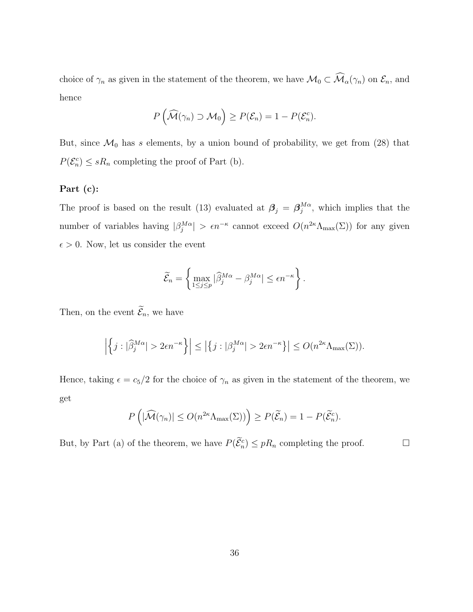choice of  $\gamma_n$  as given in the statement of the theorem, we have  $\mathcal{M}_0 \subset \widehat{\mathcal{M}}_{\alpha}(\gamma_n)$  on  $\mathcal{E}_n$ , and hence

$$
P\left(\widehat{\mathcal{M}}(\gamma_n) \supset \mathcal{M}_0\right) \ge P(\mathcal{E}_n) = 1 - P(\mathcal{E}_n^c).
$$

But, since  $\mathcal{M}_0$  has s elements, by a union bound of probability, we get from (28) that  $P(\mathcal{E}_n^c) \leq sR_n$  completing the proof of Part (b).

#### Part (c):

The proof is based on the result (13) evaluated at  $\beta_j = \beta_j^{M\alpha}$  $_{j}^{M\alpha}$ , which implies that the number of variables having  $|\beta_j^{M\alpha}| > \epsilon n^{-\kappa}$  cannot exceed  $O(n^{2\kappa}\Lambda_{\max}(\Sigma))$  for any given  $\epsilon > 0$ . Now, let us consider the event

$$
\widetilde{\mathcal{E}}_n = \left\{ \max_{1 \le j \le p} |\widehat{\beta}_j^{M\alpha} - \beta_j^{M\alpha}| \le \epsilon n^{-\kappa} \right\}.
$$

Then, on the event  $\widetilde{\mathcal{E}}_n$ , we have

$$
\left| \left\{ j : |\widehat{\beta}_j^{M\alpha}| > 2\epsilon n^{-\kappa} \right\} \right| \leq \left| \left\{ j : |\beta_j^{M\alpha}| > 2\epsilon n^{-\kappa} \right\} \right| \leq O(n^{2\kappa} \Lambda_{\max}(\Sigma)).
$$

Hence, taking  $\epsilon = c_5/2$  for the choice of  $\gamma_n$  as given in the statement of the theorem, we get

$$
P\left(|\widehat{\mathcal{M}}(\gamma_n)| \le O(n^{2\kappa} \Lambda_{\max}(\Sigma))\right) \ge P(\widetilde{\mathcal{E}}_n) = 1 - P(\widetilde{\mathcal{E}}_n^c).
$$

But, by Part (a) of the theorem, we have  $P(\widetilde{\mathcal{E}}_n^c) \leq pR_n$  completing the proof.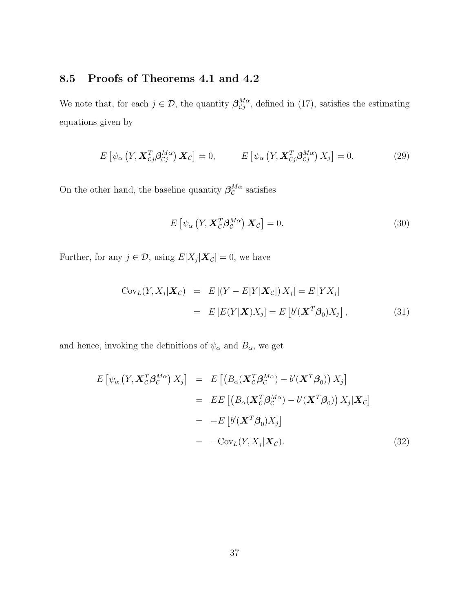# 8.5 Proofs of Theorems 4.1 and 4.2

We note that, for each  $j \in \mathcal{D}$ , the quantity  $\beta_{\mathcal{C}j}^{M\alpha}$ , defined in (17), satisfies the estimating equations given by

$$
E\left[\psi_{\alpha}\left(Y,\mathbf{X}_{Cj}^{T}\beta_{Cj}^{M\alpha}\right)\mathbf{X}_{C}\right]=0, \qquad E\left[\psi_{\alpha}\left(Y,\mathbf{X}_{Cj}^{T}\beta_{Cj}^{M\alpha}\right)X_{j}\right]=0. \tag{29}
$$

On the other hand, the baseline quantity  $\beta_{\mathcal{C}}^{M\alpha}$  satisfies

$$
E\left[\psi_{\alpha}\left(Y,\mathbf{X}_{\mathcal{C}}^T\beta_{\mathcal{C}}^{M\alpha}\right)\mathbf{X}_{\mathcal{C}}\right]=0.\tag{30}
$$

Further, for any  $j \in \mathcal{D}$ , using  $E[X_j|\boldsymbol{X}_{\mathcal{C}}] = 0$ , we have

$$
CovL(Y, Xj|Xc) = E[(Y – E[Y|Xc])Xj] = E[YXj]= E[E(Y|X)Xj] = E[b'(XTβ0)Xj],
$$
(31)

and hence, invoking the definitions of  $\psi_\alpha$  and  $B_\alpha,$  we get

$$
E\left[\psi_{\alpha}\left(Y, \mathbf{X}_{\mathcal{C}}^{T} \boldsymbol{\beta}_{\mathcal{C}}^{M\alpha}\right) X_{j}\right] = E\left[\left(B_{\alpha}(\mathbf{X}_{\mathcal{C}}^{T} \boldsymbol{\beta}_{\mathcal{C}}^{M\alpha}) - b'(\mathbf{X}^{T} \boldsymbol{\beta}_{0})\right) X_{j}\right]
$$
  
\n
$$
= EE\left[\left(B_{\alpha}(\mathbf{X}_{\mathcal{C}}^{T} \boldsymbol{\beta}_{\mathcal{C}}^{M\alpha}) - b'(\mathbf{X}^{T} \boldsymbol{\beta}_{0})\right) X_{j}|\mathbf{X}_{\mathcal{C}}\right]
$$
  
\n
$$
= -E\left[b'(\mathbf{X}^{T} \boldsymbol{\beta}_{0}) X_{j}\right]
$$
  
\n
$$
= -Cov_{L}(Y, X_{j}|\mathbf{X}_{\mathcal{C}}).
$$
 (32)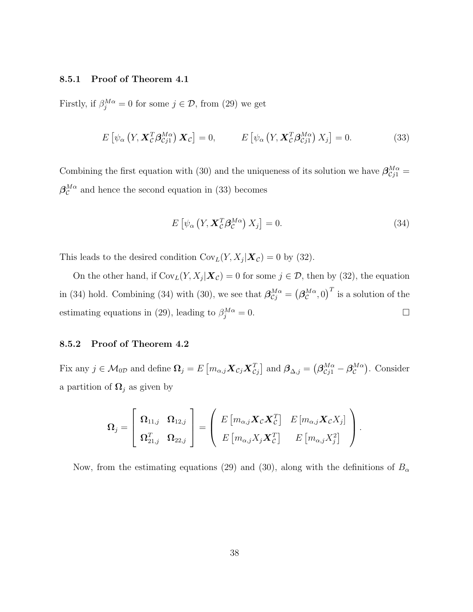#### 8.5.1 Proof of Theorem 4.1

Firstly, if  $\beta_j^{M\alpha} = 0$  for some  $j \in \mathcal{D}$ , from (29) we get

$$
E\left[\psi_{\alpha}\left(Y,\mathbf{X}_{\mathcal{C}}^T\boldsymbol{\beta}_{\mathcal{C}j1}^{M\alpha}\right)\mathbf{X}_{\mathcal{C}}\right]=0, \qquad E\left[\psi_{\alpha}\left(Y,\mathbf{X}_{\mathcal{C}}^T\boldsymbol{\beta}_{\mathcal{C}j1}^{M\alpha}\right)X_j\right]=0.
$$
\n(33)

Combining the first equation with (30) and the uniqueness of its solution we have  $\beta_{C_j}^{M\alpha} =$  $\beta_{\mathcal{C}}^{M\alpha}$  and hence the second equation in (33) becomes

$$
E\left[\psi_{\alpha}\left(Y,\mathbf{X}_{\mathcal{C}}^T\boldsymbol{\beta}_{\mathcal{C}}^{M\alpha}\right)X_j\right] = 0. \tag{34}
$$

This leads to the desired condition  $Cov_L(Y, X_j | \mathbf{X}_{\mathcal{C}}) = 0$  by (32).

On the other hand, if  $Cov_L(Y, X_j | \mathbf{X}_{\mathcal{C}}) = 0$  for some  $j \in \mathcal{D}$ , then by (32), the equation in (34) hold. Combining (34) with (30), we see that  $\boldsymbol{\beta}_{Cj}^{M\alpha} = (\boldsymbol{\beta}_{C}^{M\alpha}, 0)^{T}$  is a solution of the estimating equations in (29), leading to  $\beta_j^{M\alpha} = 0$ .

#### 8.5.2 Proof of Theorem 4.2

Fix any  $j \in \mathcal{M}_{0D}$  and define  $\mathbf{\Omega}_j = E\left[m_{\alpha,j}\mathbf{X}_{\mathcal{C}j}\mathbf{X}_{\mathcal{C}j}^T\right]$  and  $\boldsymbol{\beta}_{\Delta,j} = \left(\boldsymbol{\beta}_{\mathcal{C}j1}^{M\alpha} - \boldsymbol{\beta}_{\mathcal{C}}^{M\alpha}\right)$ . Consider a partition of  $\Omega_j$  as given by

$$
\boldsymbol{\Omega}_{j} = \left[\begin{array}{cc} \boldsymbol{\Omega}_{11,j} & \boldsymbol{\Omega}_{12,j} \\ \boldsymbol{\Omega}_{21,j}^{T} & \boldsymbol{\Omega}_{22,j} \end{array}\right] = \left(\begin{array}{cc} E\left[m_{\alpha,j}\boldsymbol{X}_{\mathcal{C}}\boldsymbol{X}_{\mathcal{C}}^{T}\right] & E\left[m_{\alpha,j}\boldsymbol{X}_{\mathcal{C}}X_{j}\right] \\ E\left[m_{\alpha,j}X_{j}\boldsymbol{X}_{\mathcal{C}}^{T}\right] & E\left[m_{\alpha,j}X_{j}^{2}\right] \end{array}\right).
$$

Now, from the estimating equations (29) and (30), along with the definitions of  $B_{\alpha}$